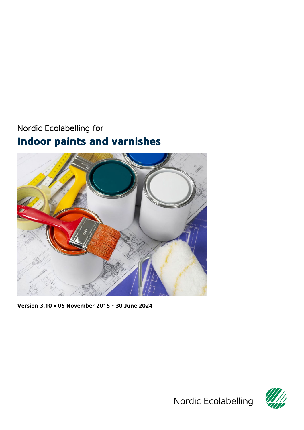# <span id="page-0-0"></span>Nordic Ecolabelling for **Indoor paints and varnishes**



<span id="page-0-1"></span>**Version 3.10** • **05 November 2015 - 30 June 2024**

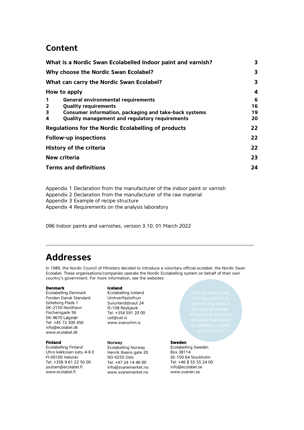## **Content**

|                         | What is a Nordic Swan Ecolabelled Indoor paint and varnish? | 3  |
|-------------------------|-------------------------------------------------------------|----|
|                         | Why choose the Nordic Swan Ecolabel?                        | 3  |
|                         | What can carry the Nordic Swan Ecolabel?                    | 3  |
|                         | How to apply                                                | 4  |
| 1                       | <b>General environmental requirements</b>                   | 6  |
| $\overline{\mathbf{2}}$ | <b>Quality requirements</b>                                 | 16 |
| 3                       | Consumer information, packaging and take-back systems       | 19 |
| 4                       | Quality management and regulatory requirements              | 20 |
|                         | <b>Regulations for the Nordic Ecolabelling of products</b>  | 22 |
|                         | <b>Follow-up inspections</b>                                | 22 |
|                         | History of the criteria                                     | 22 |
|                         | New criteria                                                | 23 |
|                         | <b>Terms and definitions</b>                                | 24 |
|                         |                                                             |    |

Appendix 1 [Declaration from the manufacturer of the indoor paint or varnish](#page-25-0) Appendix 2 [Declaration from the manufacturer of the raw material](#page-32-0) Appendix 3 [Example of recipe structure](#page-37-0) Appendix 4 [Requirements on the analysis laboratory](#page-38-0)

<span id="page-1-0"></span>096 [Indoor paints and varnishes,](#page-0-0) version [3.10,](#page-0-1) 01 March 2022

## **Addresses**

In 1989, the Nordic Council of Ministers decided to introduce a voluntary official ecolabel, the Nordic Swan Ecolabel. These organisations/companies operate the Nordic Ecolabelling system on behalf of their own country's government. For more information, see the websites:

#### **Denmark**

Ecolabelling Denmark Fonden Dansk Standard Göteborg Plads 1 DK-2150 Nordhavn Fischersgade 56 DK-9670 Løgstør Tel: +45 72 300 450 info@ecolabel.dk www.ecolabel.dk

#### **Finland**

Ecolabelling Finland Uhro kekkosen katu 4-6 E FI-00100 Helsinki Tel: +358 9 61 22 50 00 joutsen@ecolabel.fi www.ecolabel.fi

#### **Iceland**

Ecolabelling Iceland Umhverfisstofnun Suδurlandsbraut 24 IS-108 Reykjavik Tel: +354 591 20 00 ust@ust.is [www.svanurinn.is](http://www.svanurinn.is/)

#### Norway

Ecolabelling Norway Henrik Ibsens gate 20 NO-0255 Oslo Tel: +47 24 14 46 00 info@svanemerket.no www.svanemerket.no

<span id="page-1-1"></span>

#### **Sweden**

Ecolabelling Sweden Box 38114 SE-100 64 Stockholm Tel: +46 8 55 55 24 00 info@ecolabel.se www.svanen.se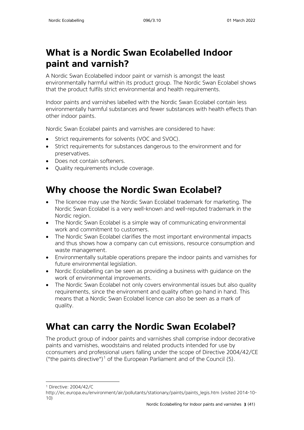# <span id="page-2-0"></span>**What is a Nordic Swan Ecolabelled Indoor paint and varnish?**

A Nordic Swan Ecolabelled indoor paint or varnish is amongst the least environmentally harmful within its product group. The Nordic Swan Ecolabel shows that the product fulfils strict environmental and health requirements.

Indoor paints and varnishes labelled with the Nordic Swan Ecolabel contain less environmentally harmful substances and fewer substances with health effects than other indoor paints.

Nordic Swan Ecolabel paints and varnishes are considered to have:

- Strict requirements for solvents (VOC and SVOC).
- Strict requirements for substances dangerous to the environment and for preservatives.
- Does not contain softeners.
- Quality requirements include coverage.

# <span id="page-2-1"></span>**Why choose the Nordic Swan Ecolabel?**

- The licencee may use the Nordic Swan Ecolabel trademark for marketing. The Nordic Swan Ecolabel is a very well-known and well-reputed trademark in the Nordic region.
- The Nordic Swan Ecolabel is a simple way of communicating environmental work and commitment to customers.
- The Nordic Swan Ecolabel clarifies the most important environmental impacts and thus shows how a company can cut emissions, resource consumption and waste management.
- Environmentally suitable operations prepare the indoor paints and varnishes for future environmental legislation.
- Nordic Ecolabelling can be seen as providing a business with guidance on the work of environmental improvements.
- The Nordic Swan Ecolabel not only covers environmental issues but also quality requirements, since the environment and quality often go hand in hand. This means that a Nordic Swan Ecolabel licence can also be seen as a mark of quality.

# <span id="page-2-2"></span>**What can carry the Nordic Swan Ecolabel?**

The product group of indoor paints and varnishes shall comprise indoor decorative paints and varnishes, woodstains and related products intended for use by cconsumers and professional users falling under the scope of Directive 2004/42/CE ("the paints directive")<sup>[1](#page-2-3)</sup> of the European Parliament and of the Council [\(5\).](http://eur-lex.europa.eu/legal-content/EN/TXT/HTML/?uri=CELEX:32014D0312&from=EN#ntr5-L_2014164EN.01004501-E0005)

<sup>1</sup> Directive: 2004/42/C

<span id="page-2-3"></span>http://ec.europa.eu/environment/air/pollutants/stationary/paints/paints\_legis.htm (visited 2014-10- 10)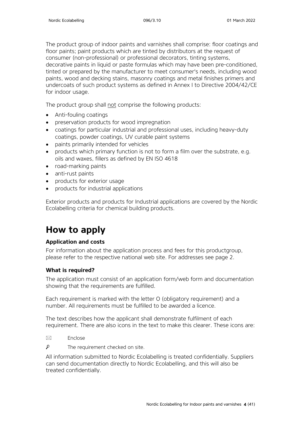The product group of indoor paints and varnishes shall comprise: floor coatings and floor paints; paint products which are tinted by distributors at the request of consumer (non-professional) or professional decorators, tinting systems, decorative paints in liquid or paste formulas which may have been pre-conditioned, tinted or prepared by the manufacturer to meet consumer's needs, including wood paints, wood and decking stains, masonry coatings and metal finishes primers and undercoats of such product systems as defined in Annex I to Directive 2004/42/CE for indoor usage.

The product group shall not comprise the following products:

- Anti-fouling coatings
- preservation products for wood impregnation
- coatings for particular industrial and professional uses, including heavy-duty coatings, powder coatings, UV curable paint systems
- paints primarily intended for vehicles
- products which primary function is not to form a film over the substrate, e.g. oils and waxes, fillers as defined by EN ISO 4618
- road-marking paints
- anti-rust paints
- products for exterior usage
- products for industrial applications

Exterior products and products for Industrial applications are covered by the Nordic Ecolabelling criteria for chemical building products.

# <span id="page-3-0"></span>**How to apply**

## **Application and costs**

For information about the application process and fees for this productgroup, please refer to the respective national web site. For addresses see page 2.

## **What is required?**

The application must consist of an application form/web form and documentation showing that the requirements are fulfilled.

Each requirement is marked with the letter O (obligatory requirement) and a number. All requirements must be fulfilled to be awarded a licence.

The text describes how the applicant shall demonstrate fulfilment of each requirement. There are also icons in the text to make this clearer. These icons are:

- $\boxtimes$  Enclose
- $\mathsf{p}$ The requirement checked on site.

All information submitted to Nordic Ecolabelling is treated confidentially. Suppliers can send documentation directly to Nordic Ecolabelling, and this will also be treated confidentially.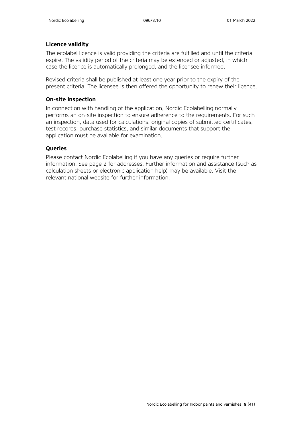## **Licence validity**

The ecolabel licence is valid providing the criteria are fulfilled and until the criteria expire. The validity period of the criteria may be extended or adjusted, in which case the licence is automatically prolonged, and the licensee informed.

Revised criteria shall be published at least one year prior to the expiry of the present criteria. The licensee is then offered the opportunity to renew their licence.

## **On-site inspection**

In connection with handling of the application, Nordic Ecolabelling normally performs an on-site inspection to ensure adherence to the requirements. For such an inspection, data used for calculations, original copies of submitted certificates, test records, purchase statistics, and similar documents that support the application must be available for examination.

## **Queries**

Please contact Nordic Ecolabelling if you have any queries or require further information. See page 2 for addresses. Further information and assistance (such as calculation sheets or electronic application help) may be available. Visit the relevant national website for further information.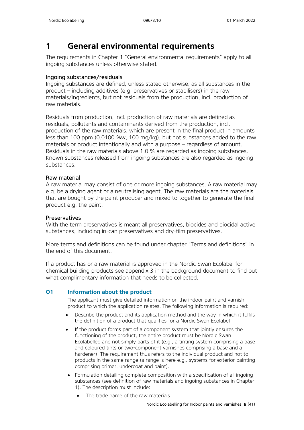## <span id="page-5-0"></span>**1 General environmental requirements**

The requirements in Chapter 1 "General environmental requirements" apply to all ingoing substances unless otherwise stated.

## Ingoing substances/residuals

Ingoing substances are defined, unless stated otherwise, as all substances in the product – including additives (e.g. preservatives or stabilisers) in the raw materials/ingredients, but not residuals from the production, incl. production of raw materials.

Residuals from production, incl. production of raw materials are defined as residuals, pollutants and contaminants derived from the production, incl. production of the raw materials, which are present in the final product in amounts less than 100 ppm (0.0100 %w, 100 mg/kg), but not substances added to the raw materials or product intentionally and with a purpose – regardless of amount. Residuals in the raw materials above 1.0 % are regarded as ingoing substances. Known substances released from ingoing substances are also regarded as ingoing substances.

## Raw material

A raw material may consist of one or more ingoing substances. A raw material may e.g. be a drying agent or a neutralising agent. The raw materials are the materials that are bought by the paint producer and mixed to together to generate the final product e.g. the paint.

## Preservatives

With the term preservatives is meant all preservatives, biocides and biocidal active substances, including in-can preservatives and dry-film preservatives.

More terms and definitions can be found under chapter "Terms and definitions" in the end of this document.

If a product has or a raw material is approved in the Nordic Swan Ecolabel for chemical building products see appendix 3 in the background document to find out what complimentary information that needs to be collected.

## **O1 Information about the product**

The applicant must give detailed information on the indoor paint and varnish product to which the application relates. The following information is required:

- Describe the product and its application method and the way in which it fulfils the definition of a product that qualifies for a Nordic Swan Ecolabel
- If the product forms part of a component system that jointly ensures the functioning of the product, the entire product must be Nordic Swan Ecolabelled and not simply parts of it (e.g., a tinting system comprising a base and coloured tints or two-component varnishes comprising a base and a hardener). The requirement thus refers to the individual product and not to products in the same range (a range is here e.g., systems for exterior painting comprising primer, undercoat and paint).
- Formulation detailing complete composition with a specification of all ingoing substances (see definition of raw materials and ingoing substances in Chapter 1). The description must include:
	- The trade name of the raw materials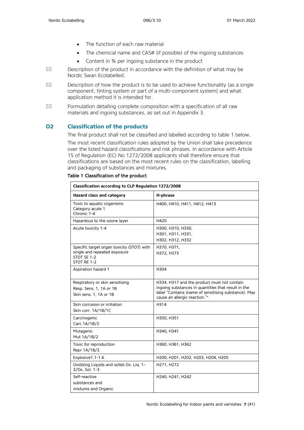- The function of each raw material
- The chemical name and CAS# (if possible) of the ingoing substances
- Content in % per ingoing substance in the product
- $\boxtimes$  Description of the product in accordance with the definition of what may be Nordic Swan Ecolabelled.
- $\boxtimes$  Description of how the product is to be used to achieve functionality (as a single component, tinting system or part of a multi-component system) and what application method it is intended for.
- $\boxtimes$  Formulation detailing complete composition with a specification of all raw materials and ingoing substances, as set out in Appendix 3.

## **O2 Classification of the products**

The final product shall not be classified and labelled according to table 1 below.

The most recent classification rules adopted by the Union shall take precedence over the listed hazard classifications and risk phrases. In accordance with Article 15 of Regulation (EC) No 1272/2008 applicants shall therefore ensure that classifications are based on the most recent rules on the classification, labelling and packaging of substances and mixtures.

| Classification according to CLP Regulation 1272/2008                                                     |                                                                                                                                                                                             |  |  |
|----------------------------------------------------------------------------------------------------------|---------------------------------------------------------------------------------------------------------------------------------------------------------------------------------------------|--|--|
| Hazard class and category                                                                                | H-phrase                                                                                                                                                                                    |  |  |
| Toxic to aquatic organisms<br>Category acute 1<br>Chronic 1-4                                            | H400, H410, H411, H412, H413                                                                                                                                                                |  |  |
| Hazardous to the ozone layer                                                                             | H420                                                                                                                                                                                        |  |  |
| Acute toxicity 1-4                                                                                       | H300, H310, H330,<br>H301, H311, H331,<br>H302, H312, H332                                                                                                                                  |  |  |
| Specific target organ toxicity (STOT) with<br>single and repeated exposure<br>STOT SE 1-2<br>STOT RE 1-2 | H370, H371,<br>H372, H373                                                                                                                                                                   |  |  |
| Aspiration hazard 1                                                                                      | H304                                                                                                                                                                                        |  |  |
| Respiratory or skin sensitising<br>Resp. Sens. 1, 1A or 1B<br>Skin sens. 1, 1A or 1B                     | H334, H317 and the product must not contain<br>ingoing substances in quantities that result in the<br>label "Contains (name of sensitising substance). May<br>cause an allergic reaction."* |  |  |
| Skin corrosion or irritation<br>Skin corr. 1A/1B/1C                                                      | H314                                                                                                                                                                                        |  |  |
| Carcinogenic<br>Carc 1A/1B/2                                                                             | H350, H351                                                                                                                                                                                  |  |  |
| Mutagenic<br>Mut 1A/1B/2                                                                                 | H340, H341                                                                                                                                                                                  |  |  |
| Toxic for reproduction<br>Repr 1A/1B/2                                                                   | H360, H361, H362                                                                                                                                                                            |  |  |
| Explosive1.1-1.6                                                                                         | H200, H201, H202, H203, H204, H205                                                                                                                                                          |  |  |
| Oxidizing Liquids and solids Ox. Liq. 1-<br>3/0x. Sol. 1-3                                               | H271, H272                                                                                                                                                                                  |  |  |
| Self-reactive<br>substances and<br>mixtures and Organic                                                  | H240, H241, H242                                                                                                                                                                            |  |  |

#### Table 1 Classification of the product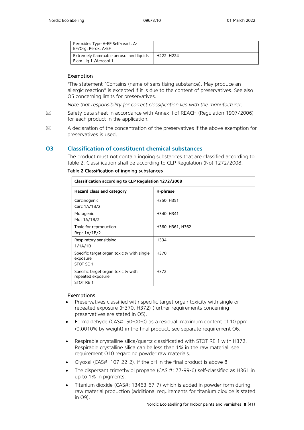| Peroxides Type A-EF Self-react. A-<br>EF/Org. Perox. A-EF         |            |
|-------------------------------------------------------------------|------------|
| Extremely flammable aerosol and liquids<br>Flam Lig 1 / Aerosol 1 | H222. H224 |

#### Exemption

\* The statement "Contains (name of sensitising substance). May produce an allergic reaction" is excepted if it is due to the content of preservatives. See also O5 concerning limits for preservatives.

*Note that responsibility for correct classification lies with the manufacturer.*

- $\boxtimes$  Safety data sheet in accordance with Annex II of REACH (Regulation 1907/2006) for each product in the application.
- $\boxtimes$  A declaration of the concentration of the preservatives if the above exemption for preservatives is used.

### **O3 Classification of constituent chemical substances**

The product must not contain ingoing substances that are classified according to table 2. Classification shall be according to CLP Regulation (No) 1272/2008.

| Classification according to CLP Regulation 1272/2008                  |                  |  |
|-----------------------------------------------------------------------|------------------|--|
| Hazard class and category                                             | H-phrase         |  |
| Carcinogenic<br>Carc 1A/1B/2                                          | H350, H351       |  |
| Mutagenic<br>Mut 1A/1B/2                                              | H340, H341       |  |
| Toxic for reproduction<br>Repr 1A/1B/2                                | H360, H361, H362 |  |
| Respiratory sensitising<br>1/1A/1B                                    | H334             |  |
| Specific target organ toxicity with single<br>exposure<br>STOT SE 1   | H370             |  |
| Specific target organ toxicity with<br>repeated exposure<br>STOT RE 1 | H372             |  |

### Table 2 Classification of ingoing substances

#### Exemptions:

- Preservatives classified with specific target organ toxicity with single or repeated exposure (H370, H372) (further requirements concerning preservatives are stated in O5).
- Formaldehyde (CAS#: 50-00-0) as a residual, maximum content of 10 ppm (0.0010% by weight) in the final product, see separate requirement O6.
- Respirable crystalline silica/quartz classificatied with STOT RE 1 with H372. Respirable crystalline silica can be less than 1% in the raw material, see requirement O10 regarding powder raw materials.
- Glyoxal (CAS#: 107-22-2), if the pH in the final product is above 8.
- The dispersant trimethylol propane (CAS #: 77-99-6) self-classified as H361 in up to 1% in pigments.
- Titanium dioxide (CAS#: 13463-67-7) which is added in powder form during raw material production (additional requirements for titanium dioxide is stated in O9).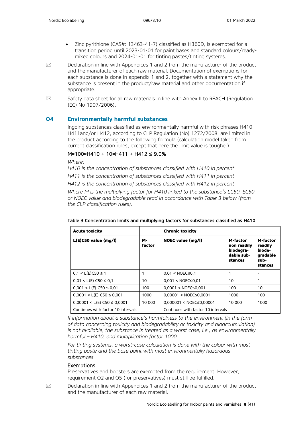- Zinc pyrithione (CAS#: 13463-41-7) classified as H360D, is exempted for a transition period until 2023-01-01 for paint bases and standard colours/readymixed colours and 2024-01-01 for tinting pastes/tinting systems.
- $\boxtimes$  Declaration in line with Appendices 1 and 2 from the manufacturer of the product and the manufacturer of each raw material. Documentation of exemptions for each substance is done in appendix 1 and 2, together with a statement why the substance is present in the product/raw material and other documentation if appropriate.
- $\boxtimes$  Safety data sheet for all raw materials in line with Annex II to REACH (Regulation (EC) No 1907/2006).

### **O4 Environmentally harmful substances**

Ingoing substances classified as environmentally harmful with risk phrases H410, H411and/or H412, according to CLP Regulation (No) 1272/2008, are limited in the product according to the following formula (calculation model taken from current classification rules, except that here the limit value is tougher):

### M\*100\*H410 + 10\*H411 + H412 ≤ 9.0%

*Where:*

*H410 is the concentration of substances classified with H410 in percent H411 is the concentration of substances classified with H411 in percent*

*H412 is the concentration of substances classified with H412 in percent*

*Where M is the multiplying factor for H410 linked to the substance's LC50, EC50 or NOEC value and biodegradable read in accordance with Table 3 below (from the CLP classification rules).* 

| <b>Acute toxicity</b>              |              | <b>Chronic toxicity</b>            |                                                               |                                                              |
|------------------------------------|--------------|------------------------------------|---------------------------------------------------------------|--------------------------------------------------------------|
| L(E)C50 value (mg/l)               | м-<br>factor | NOEC value (mg/l)                  | M-factor<br>non readily<br>biodegra-<br>dable sub-<br>stances | M-factor<br>readily<br>biode-<br>gradable<br>sub-<br>stances |
| $0.1 < L(E)$ C50 ≤ 1               |              | $0.01 < \text{NOEC} \leq 0.1$      |                                                               |                                                              |
| $0.01 < L(E)$ C50 $\leq 0.1$       | 10           | $0.001 < NOEC \le 0.01$            | 10                                                            |                                                              |
| $0.001 < L(E)$ C50 $\leq 0.01$     | 100          | $0.0001 < NOEC \le 0.001$          | 100                                                           | 10                                                           |
| $0.0001 < L(E)$ C50 $\leq 0.001$   | 1000         | $0.00001 < NOEC \le 0.0001$        | 1000                                                          | 100                                                          |
| $0,00001 < L(E)$ C50 $\leq 0,0001$ | 10 000       | $0,000001 < NOEC \le 0,00001$      | 10 000                                                        | 1000                                                         |
| Continues with factor 10 intervals |              | Continues with factor 10 intervals |                                                               |                                                              |

#### Table 3 Concentration limits and multiplying factors for substances classified as H410

*If information about a substance's harmfulness to the environment (in the form of data concerning toxicity and biodegradability or toxicity and bioaccumulation) is not available, the substance is treated as a worst case, i.e., as environmentally harmful – H410, and multiplication factor 1000.*

*For tinting systems, a worst-case calculation is done with the colour with most tinting paste and the base paint with most environmentally hazardous substances.* 

#### Exemptions:

Preservatives and boosters are exempted from the requirement. However, requirement O2 and O5 (for preservatives) must still be fulfilled.

 $\boxtimes$  Declaration in line with Appendices 1 and 2 from the manufacturer of the product and the manufacturer of each raw material.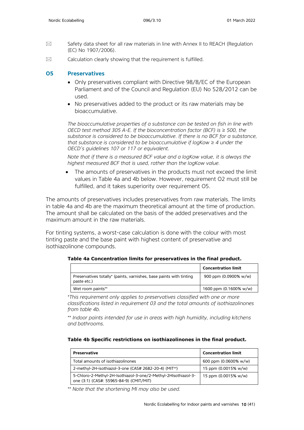- $\boxtimes$  Safety data sheet for all raw materials in line with Annex II to REACH (Regulation (EC) No 1907/2006).
- $\boxtimes$  Calculation clearly showing that the requirement is fulfilled.

### **O5 Preservatives**

- Only preservatives compliant with Directive 98/8/EC of the European Parliament and of the Council and Regulation (EU) No 528/2012 can be used.
- No preservatives added to the product or its raw materials may be bioaccumulative.

*The bioaccumulative properties of a substance can be tested on fish in line with OECD test method 305 A-E. If the bioconcentration factor (BCF) is ≥ 500, the substance is considered to be bioaccumulative. If there is no BCF for a substance, that substance is considered to be bioaccumulative if logKow ≥ 4 under the OECD's guidelines 107 or 117 or equivalent.* 

*Note that if there is a measured BCF value and a logKow value, it is always the highest measured BCF that is used, rather than the logKow value.*

• The amounts of preservatives in the products must not exceed the limit values in Table 4a and 4b below. However, requirement O2 must still be fulfilled, and it takes superiority over requirement O5.

The amounts of preservatives includes preservatives from raw materials. The limits in table 4a and 4b are the maximum theoretical amount at the time of production. The amount shall be calculated on the basis of the added preservatives and the maximum amount in the raw materials.

For tinting systems, a worst-case calculation is done with the colour with most tinting paste and the base paint with highest content of preservative and isothiazolinone compounds.

|                                                                                    | <b>Concentration limit</b> |
|------------------------------------------------------------------------------------|----------------------------|
| Preservatives totally* (paints, varnishes, base paints with tinting<br>paste etc.) | 900 ppm (0.0900% w/w)      |
| Wet room paints**                                                                  | 1600 ppm (0.1600% w/w)     |

**Table 4a Concentration limits for preservatives in the final product.**

*\* This requirement only applies to preservatives classified with one or more classifications listed in requirement 03 and the total amounts of isothiazolinones from table 4b.*

*\*\* Indoor paints intended for use in areas with high humidity, including kitchens and bathrooms.*

| <b>Preservative</b>                                                                                       | <b>Concentration limit</b> |
|-----------------------------------------------------------------------------------------------------------|----------------------------|
| Total amounts of isothiazolinones                                                                         | 600 ppm (0.0600% w/w)      |
| 2-methyl-2H-isothiazol-3-one (CAS# 2682-20-4) (MIT**)                                                     | 15 ppm (0.0015% w/w)       |
| 5-Chloro-2-Methyl-2H-Isothiazol-3-one/2-Methyl-2HIsothiazol-3-<br>one (3:1) (CAS#: 55965-84-9) (CMIT/MIT) | 15 ppm (0.0015% w/w)       |

*\*\* Note that the shortening MI may also be used.*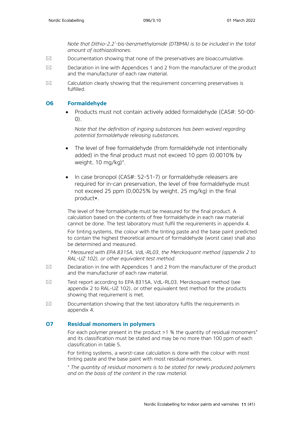*Note that Dithio-2,2'-bis-benzmethylamide (DTBMA) is to be included in the total amount of isothiazolinones.*

- $\boxtimes$  Documentation showing that none of the preservatives are bioaccumulative.
- $\boxtimes$  Declaration in line with Appendices 1 and 2 from the manufacturer of the product and the manufacturer of each raw material.
- $\boxtimes$  Calculation clearly showing that the requirement concerning preservatives is fulfilled.

#### **O6 Formaldehyde**

• Products must not contain actively added formaldehyde (CAS#: 50-00-  $(0)$ .

*Note that the definition of ingoing substances has been waived regarding potential formaldehyde releasing substances.*

- The level of free formaldehyde (from formaldehyde not intentionally added) in the final product must not exceed 10 ppm (0.0010% by weight, 10 mg/kg)\* .
- In case bronopol (CAS#: 52-51-7) or formaldehyde releasers are required for in-can preservation, the level of free formaldehyde must not exceed 25 ppm (0,0025% by weight, 25 mg/kg) in the final product\*.

The level of free formaldehyde must be measured for the final product. A calculation based on the contents of free formaldehyde in each raw material cannot be done. The test laboratory must fulfil the requirements in appendix 4.

For tinting systems, the colour with the tinting paste and the base paint predicted to contain the highest theoretical amount of formaldehyde (worst case) shall also be determined and measured.

*\* Measured with EPA 8315A, VdL-RL03, the Merckoquant method (appendix 2 to RAL-UZ 102), or other equivalent test method.* 

- $\boxtimes$  Declaration in line with Appendices 1 and 2 from the manufacturer of the product and the manufacturer of each raw material.
- $\boxtimes$  Test report according to EPA 8315A, VdL-RL03, Merckoguant method (see appendix 2 to RAL-UZ 102), or other equivalent test method for the products showing that requirement is met.
- $\boxtimes$  Documentation showing that the test laboratory fulfils the requirements in appendix 4.

### **O7 Residual monomers in polymers**

For each polymer present in the product >1 % the quantity of residual monomers<sup>\*</sup> and its classification must be stated and may be no more than 100 ppm of each classification in table 5.

For tinting systems, a worst-case calculation is done with the colour with most tinting paste and the base paint with most residual monomers.

*\* The quantity of residual monomers is to be stated for newly produced polymers and on the basis of the content in the raw material.*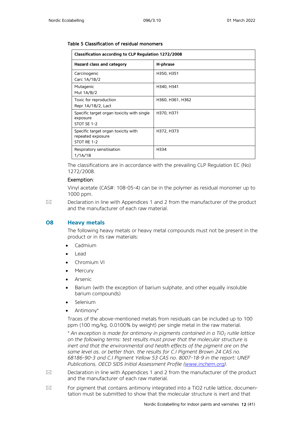#### Table 5 Classification of residual monomers

| Classification according to CLP Regulation 1272/2008                    |                  |  |
|-------------------------------------------------------------------------|------------------|--|
| Hazard class and category                                               | H-phrase         |  |
| Carcinogenic<br>Carc 1A/1B/2                                            | H350, H351       |  |
| Mutagenic<br>Mut 1A/B/2                                                 | H340, H341       |  |
| Toxic for reproduction<br>Repr 1A/1B/2, Lact                            | H360, H361, H362 |  |
| Specific target organ toxicity with single<br>exposure<br>STOT SE 1-2   | H370, H371       |  |
| Specific target organ toxicity with<br>repeated exposure<br>STOT RE 1-2 | H372, H373       |  |
| Respiratory sensitisation<br>1/1A/1B                                    | H334             |  |

The classifications are in accordance with the prevailing CLP Regulation EC (No) 1272/2008.

#### Exemption:

Vinyl acetate (CAS#: 108-05-4) can be in the polymer as residual monomer up to 1000 ppm.

 $\boxtimes$  Declaration in line with Appendices 1 and 2 from the manufacturer of the product and the manufacturer of each raw material.

#### **O8 Heavy metals**

The following heavy metals or heavy metal compounds must not be present in the product or in its raw materials:

- Cadmium
- Lead
- Chromium VI
- **Mercury**
- **Arsenic**
- Barium (with the exception of barium sulphate, and other equally insoluble barium compounds)
- **Selenium**
- Antimony\*

Traces of the above-mentioned metals from residuals can be included up to 100 ppm (100 mg/kg, 0.0100% by weight) per single metal in the raw material.

*\* An exception is made for antimony in pigments contained in a TiO2 rutile lattice on the following terms: test results must prove that the molecular structure is inert and that the environmental and health effects of the pigment are on the same level as, or better than, the results for C.I Pigment Brown 24 CAS no. 68186-90-3 and C.I Pigment Yellow 53 CAS no. 8007-18-9 in the report: UNEF Publications, OECD SIDS Initial Assessment Profile [\(www.inchem.org\)](http://www.inchem.org/).* 

- $\boxtimes$  Declaration in line with Appendices 1 and 2 from the manufacturer of the product and the manufacturer of each raw material.
- $\boxtimes$  For pigment that contains antimony integrated into a TiO2 rutile lattice, documentation must be submitted to show that the molecular structure is inert and that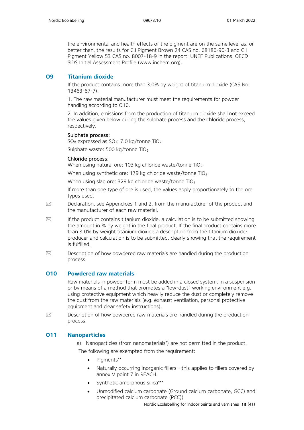the environmental and health effects of the pigment are on the same level as, or better than, the results for C.I Pigment Brown 24 CAS no. 68186-90-3 and C.I Pigment Yellow 53 CAS no. 8007-18-9 in the report: UNEF Publications, OECD SIDS Initial Assessment Profile [\(www.inchem.org\)](http://www.inchem.org/).

## **O9 Titanium dioxide**

If the product contains more than 3.0% by weight of titanium dioxide (CAS No: 13463-67-7):

1. The raw material manufacturer must meet the requirements for powder handling according to O10.

2. In addition, emissions from the production of titanium dioxide shall not exceed the values given below during the sulphate process and the chloride process, respectively.

### Sulphate process:

 $SO_{X}$  expressed as  $SO_{2}$ : 7.0 kg/tonne TiO<sub>2</sub>

Sulphate waste: 500 kg/tonne TiO<sub>2</sub>

### Chloride process:

When using natural ore: 103 kg chloride waste/tonne  $TiO<sub>2</sub>$ 

When using synthetic ore: 179 kg chloride waste/tonne  $TiO<sub>2</sub>$ 

When using slag ore: 329 kg chloride waste/tonne TiO<sub>2</sub>

If more than one type of ore is used, the values apply proportionately to the ore types used.

- $\boxtimes$  Declaration, see Appendices 1 and 2, from the manufacturer of the product and the manufacturer of each raw material.
- $\boxtimes$  If the product contains titanium dioxide, a calculation is to be submitted showing the amount in % by weight in the final product. If the final product contains more than 3.0% by weight titanium dioxide a description from the titanium dioxideproducer and calculation is to be submitted, clearly showing that the requirement is fulfilled.
- $\boxtimes$  Description of how powdered raw materials are handled during the production process.

## **O10 Powdered raw materials**

Raw materials in powder form must be added in a closed system, in a suspension or by means of a method that promotes a "low-dust" working environment e.g. using protective equipment which heavily reduce the dust or completely remove the dust from the raw materials (e.g. exhaust ventilation, personal protective equipment and clear safety instructions).

 $\boxtimes$  Description of how powdered raw materials are handled during the production process.

## **O11 Nanoparticles**

a) Nanoparticles (from nanomaterials\* ) are not permitted in the product.

The following are exempted from the requirement:

- Pigments\*\*
- Naturally occurring inorganic fillers this applies to fillers covered by annex V point 7 in REACH.
- Synthetic amorphous silica\*\*\*
- Unmodified calcium carbonate (Ground calcium carbonate, GCC) and precipitated calcium carbonate (PCC))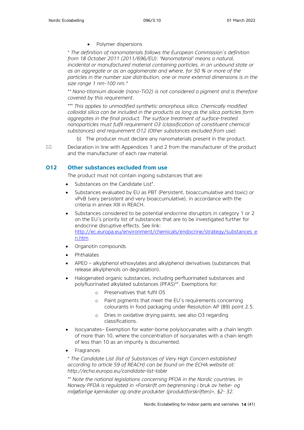• Polymer dispersions

*\* The definition of nanomaterials follows the European Commission's definition from 18 October 2011 (2011/696/EU): 'Nanomaterial' means a natural, incidental or manufactured material containing particles, in an unbound state or as an aggregate or as an agglomerate and where, for 50 % or more of the particles in the number size distribution, one or more external dimensions is in the size range 1 nm-100 nm."* 

*\*\* Nano-titanium dioxide (nano-TiO2) is not considered a pigment and is therefore covered by this requirement.*

*\*\*\* This applies to unmodified synthetic amorphous silica. Chemically modified colloidal silica can be included in the products as long as the silica particles form aggregates in the final product. The surface treatment of surface-treated nanoparticles must fulfil requirement O3 (classification of constituent chemical substances) and requirement O12 (Other substances excluded from use).*

b) The producer must declare any nanomaterials present in the product.

 $\boxtimes$  Declaration in line with Appendices 1 and 2 from the manufacturer of the product and the manufacturer of each raw material.

## **O12 Other substances excluded from use**

The product must not contain ingoing substances that are:

- Substances on the Candidate List\*.
- Substances evaluated by EU as PBT (Persistent, bioaccumulative and toxic) or vPvB (very persistent and very bioaccumulative), in accordance with the criteria in annex XIII in REACH.
- Substances considered to be potential endocrine disruptors in category 1 or 2 on the EU's priority list of substances that are to be investigated further for endocrine disruptive effects. See link: [http://ec.europa.eu/environment/chemicals/endocrine/strategy/substances\\_e](http://ec.europa.eu/environment/chemicals/endocrine/strategy/substances_en.htm) [n.htm](http://ec.europa.eu/environment/chemicals/endocrine/strategy/substances_en.htm)
- Organotin compounds
- Phthalates
- APEO alkylphenol ethoxylates and alkylphenol derivatives (substances that release alkylphenols on degradation).
- Halogenated organic substances, including perfluorinated substances and polyfluorinated alkylated substances (PFAS)\*\*. Exemptions for:
	- o Preservatives that fulfil O5
	- o Paint pigments that meet the EU's requirements concerning colourants in food packaging under Resolution AP (89) point 2.5.
	- o Dries in oxidative drying paints, see also O3 regarding classifications.
- Isocyanates– Exemption for water-borne polyisocyanates with a chain length of more than 10, where the concentration of isocyanates with a chain length of less than 10 as an impurity is documented.
- **Fragrances**

*\* The Candidate List (list of Substances of Very High Concern established according to article 59 of REACH) can be found on the ECHA website at: <http://echa.europa.eu/candidate-list-table>*

*\*\* Note the national legislations concerning PFOA in the Nordic countries. In Norway PFOA is regulated in «Forskrift om begrensning i bruk av helse- og miljøfarlige kjemikalier og andre produkter (produktforskriften)», §2- 32.*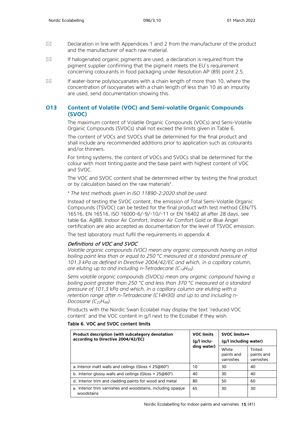- $\boxtimes$  Declaration in line with Appendices 1 and 2 from the manufacturer of the product and the manufacturer of each raw material.
- $\boxtimes$  If halogenated organic pigments are used, a declaration is required from the pigment supplier confirming that the pigment meets the EU's requirement concerning colourants in food packaging under Resolution AP (89) point 2.5.
- $\boxtimes$  If water-borne polyisocyanates with a chain length of more than 10, where the concentration of isocyanates with a chain length of less than 10 as an impurity are used, send documentation showing this.

## **O13 Content of Volatile (VOC) and Semi-volatile Organic Compounds (SVOC)**

The maximum content of Volatile Organic Compounds (VOCs) and Semi-Volatile Organic Compounds (SVOCs) shall not exceed the limits given in Table 6.

The content of VOCs and SVOCs shall be determined for the final product and shall include any recommended additions prior to application such as colourants and/or thinners.

For tinting systems, the content of VOCs and SVOCs shall be determined for the colour with most tinting paste and the base paint with highest content of VOC and SVOC.

The VOC and SVOC content shall be determined either by testing the final product or by calculation based on the raw materials\*.

*\* The test methods given in ISO 11890-2:2020 shall be used.* 

Instead of testing the SVOC content, the emission of Total Semi-Volatile Organic Compounds (TSVOC) can be tested for the final product with test method CEN/TS 16516, EN 16516, ISO 16000-6/-9/-10/-11 or EN 16402 all after 28 days, see table 6a. AgBB, Indoor Air Comfort, Indoor Air Comfort Gold or Blue Angel certification are also accepted as documentation for the level of TSVOC emission.

The test laboratory must fulfil the requirements in appendix 4.

#### Definitions of VOC and SVOC

*Volatile organic compounds (VOC) mean any organic compounds having an initial boiling point less than or equal to 250 °C measured at a standard pressure of 101,3 kPa as defined in Directive 2004/42/EC and which, in a capillary column, are eluting up to and including n-Tetradecane (C14H30).*

*Semi volatile organic compounds (SVOCs) mean any organic compound having a boiling point greater than 250 °C and less than 370 °C measured at a standard pressure of 101,3 kPa and which, in a capillary column are eluting with a retention range after n-Tetradecane (C14H30) and up to and including n-Docosane (C22H46).* 

Products with the Nordic Swan Ecolabel may display the text 'reduced VOC content' and the VOC content in g/l next to the Ecolabel if they wish.

#### Table 6. VOC and SVOC content limits

| Product description (with subcategory denotation<br>according to Directive 2004/42/EC) | <b>VOC limits</b><br>$(q/l$ inclu-<br>ding water) | <b>SVOC limits**</b><br>(g/l including water) |                                   |
|----------------------------------------------------------------------------------------|---------------------------------------------------|-----------------------------------------------|-----------------------------------|
|                                                                                        |                                                   | White<br>paints and<br>varnishes              | Tinted<br>paints and<br>varnishes |
| a. Interior matt walls and ceilings (Gloss $\leq$ 25 $\textcircled{a}60^\circ$ )       | 10                                                | 30                                            | 40                                |
| b. Interior glossy walls and ceilings (Gloss $> 25@60°$ )                              | 40                                                | 30                                            | 40                                |
| d. Interior trim and cladding paints for wood and metal                                | 80                                                | 50                                            | 60                                |
| e. Interior trim varnishes and woodstains, including opaque<br>woodstains              | 65                                                | 30                                            | 30                                |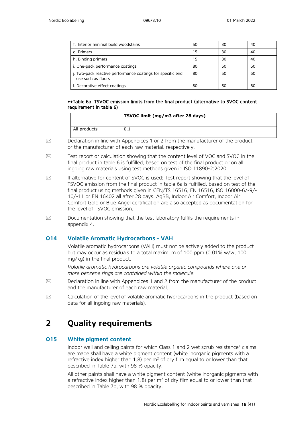| f. Interior minimal build woodstains                                             | 50 | 30 | 40 |
|----------------------------------------------------------------------------------|----|----|----|
| g. Primers                                                                       | 15 | 30 | 40 |
| h. Binding primers                                                               | 15 | 30 | 40 |
| i. One-pack performance coatings                                                 | 80 | 50 | 60 |
| j. Two-pack reactive performance coatings for specific end<br>use such as floors | 80 | 50 | 60 |
| I. Decorative effect coatings                                                    | 80 | 50 | 60 |

#### \*\*Table 6a. TSVOC emission limits from the final product (alternative to SVOC content requirement in table 6)

|              | TSVOC limit (mg/m3 after 28 days) |
|--------------|-----------------------------------|
| All products | 0.1                               |

 $\boxtimes$  Declaration in line with Appendices 1 or 2 from the manufacturer of the product or the manufacturer of each raw material, respectively.

- $\boxtimes$  Test report or calculation showing that the content level of VOC and SVOC in the final product in table 6 is fulfilled, based on test of the final product or on all ingoing raw materials using test methods given in ISO 11890-2:2020.
- $\boxtimes$  If alternative for content of SVOC is used: Test report showing that the level of TSVOC emission from the final product in table 6a is fulfilled, based on test of the final product using methods given in CEN/TS 16516, EN 16516, ISO 16000-6/-9/- 10/-11 or EN 16402 all after 28 days. AgBB, Indoor Air Comfort, Indoor Air Comfort Gold or Blue Angel certification are also accepted as documentation for the level of TSVOC emission.
- $\boxtimes$  Documentation showing that the test laboratory fulfils the requirements in appendix 4.

## **O14 Volatile Aromatic Hydrocarbons - VAH**

Volatile aromatic hydrocarbons (VAH) must not be actively added to the product but may occur as residuals to a total maximum of 100 ppm (0.01% w/w, 100 mg/kg) in the final product.

*Volatile aromatic hydrocarbons are volatile organic compounds where one or more benzene rings are contained within the molecule.* 

- $\boxtimes$  Declaration in line with Appendices 1 and 2 from the manufacturer of the product and the manufacturer of each raw material.
- $\boxtimes$  Calculation of the level of volatile aromatic hydrocarbons in the product (based on data for all ingoing raw materials).

## <span id="page-15-0"></span>**2 Quality requirements**

## **O15 White pigment content**

Indoor wall and ceiling paints for which Class 1 and 2 wet scrub resistance\* claims are made shall have a white pigment content (white inorganic pigments with a refractive index higher than 1.8) per  $m<sup>2</sup>$  of dry film equal to or lower than that described in Table 7a, with 98 % opacity.

All other paints shall have a white pigment content (white inorganic pigments with a refractive index higher than 1.8) per  $m^2$  of dry film equal to or lower than that described in Table 7b, with 98 % opacity.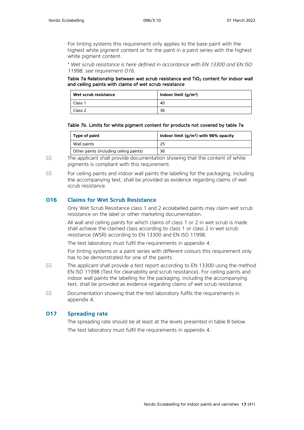For tinting systems this requirement only applies to the base paint with the highest white pigment content or for the paint in a paint series with the highest white pigment content.

*\* Wet scrub resistance is here defined in accordance with EN 13300 and EN ISO 11998, see requirement O16.*

#### Table 7a Relationship between wet scrub resistance and TiO<sub>2</sub> content for indoor wall and ceiling paints with claims of wet scrub resistance

| Wet scrub resistance | Indoor limit $(g/m2)$ |
|----------------------|-----------------------|
| Class 1              | 40                    |
| Class 2              | 36                    |

#### Table 7b. Limits for white pigment content for products not covered by table 7a

| Type of paint                           | Indoor limit $(g/m^2)$ with 98% opacity |
|-----------------------------------------|-----------------------------------------|
| Wall paints                             | 25                                      |
| Other paints (including ceiling paints) | 36                                      |

 $\boxtimes$  The applicant shall provide documentation showing that the content of white pigments is compliant with this requirement.

 $\boxtimes$  For ceiling paints and indoor wall paints the labelling for the packaging, including the accompanying text, shall be provided as evidence regarding claims of wet scrub resistance.

## **O16 Claims for Wet Scrub Resistance**

Only Wet Scrub Resistance class 1 and 2 ecolabelled paints may claim wet scrub resistance on the label or other marketing documentation.

All wall and ceiling paints for which claims of class 1 or 2 in wet scrub is made shall achieve the claimed class according to class 1 or class 2 in wet scrub resistance (WSR) according to EN 13300 and EN ISO 11998.

The test laboratory must fulfil the requirements in appendix 4.

For tinting systems or a paint series with different colours this requirement only has to be demonstrated for one of the paints.

- $\boxtimes$  The applicant shall provide a test report according to EN 13300 using the method EN ISO 11998 (Test for cleanability and scrub resistance). For ceiling paints and indoor wall paints the labelling for the packaging, including the accompanying text, shall be provided as evidence regarding claims of wet scrub resistance.
- $\boxtimes$  Documentation showing that the test laboratory fulfils the requirements in appendix 4.

### **O17 Spreading rate**

The spreading rate should be at least at the levels presented in table 8 below. The test laboratory must fulfil the requirements in appendix 4.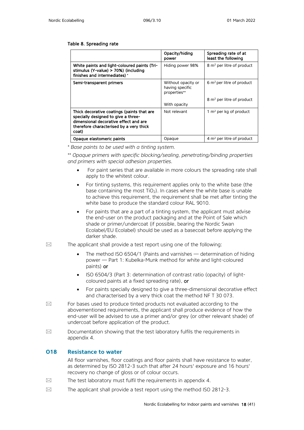#### Table 8. Spreading rate

|                                                                                                                                                                                | Opacity/hiding<br>power                               | Spreading rate of at<br>least the following |
|--------------------------------------------------------------------------------------------------------------------------------------------------------------------------------|-------------------------------------------------------|---------------------------------------------|
| White paints and light-coloured paints (Tri-<br>stimulus (Y-value) > 70%) (including<br>finishes and intermediates)*                                                           | Hiding power 98%                                      | $8 \text{ m}^2$ per litre of product        |
| Semi-transparent primers                                                                                                                                                       | Without opacity or<br>having specific<br>properties** | 6 $m2$ per litre of product                 |
|                                                                                                                                                                                | With opacity                                          | 8 m <sup>2</sup> per litre of product       |
| Thick decorative coatings (paints that are<br>specially designed to give a three-<br>dimensional decorative effect and are<br>therefore characterised by a very thick<br>coat) | Not relevant                                          | 1 $m2$ per kg of product                    |
| Opaque elastomeric paints                                                                                                                                                      | Opaque                                                | 4 $m2$ per litre of product                 |

*\* Base paints to be used with a tinting system.* 

*\*\* Opaque primers with specific blocking/sealing, penetrating/binding properties and primers with special adhesion properties.*

- For paint series that are available in more colours the spreading rate shall apply to the whitest colour.
- For tinting systems, this requirement applies only to the white base (the base containing the most  $TiO<sub>2</sub>$ ). In cases where the white base is unable to achieve this requirement, the requirement shall be met after tinting the white base to produce the standard colour RAL 9010.
- For paints that are a part of a tinting system, the applicant must advise the end-user on the product packaging and at the Point of Sale which shade or primer/undercoat (if possible, bearing the Nordic Swan Ecolabel/EU Ecolabel) should be used as a basecoat before applying the darker shade.
- $\boxtimes$  The applicant shall provide a test report using one of the following:
	- The method ISO 6504/1 (Paints and varnishes determination of hiding power — Part 1: Kubelka-Munk method for white and light-coloured paints) or
	- ISO 6504/3 (Part 3: determination of contrast ratio (opacity) of lightcoloured paints at a fixed spreading rate), or
	- For paints specially designed to give a three-dimensional decorative effect and characterised by a very thick coat the method NF T 30 073.
- $\boxtimes$  For bases used to produce tinted products not evaluated according to the abovementioned requirements, the applicant shall produce evidence of how the end-user will be advised to use a primer and/or grey (or other relevant shade) of undercoat before application of the product.
- $\boxtimes$  Documentation showing that the test laboratory fulfils the requirements in appendix 4.

### **O18 Resistance to water**

All floor varnishes, floor coatings and floor paints shall have resistance to water, as determined by ISO 2812-3 such that after 24 hours' exposure and 16 hours' recovery no change of gloss or of colour occurs.

- $\boxtimes$  The test laboratory must fulfil the requirements in appendix 4.
- $\boxtimes$  The applicant shall provide a test report using the method ISO 2812-3.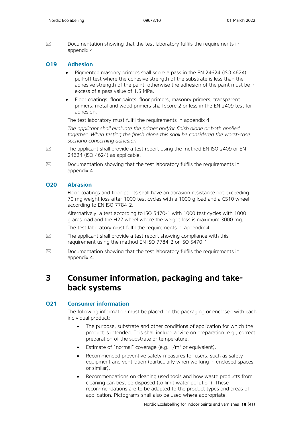$\boxtimes$  Documentation showing that the test laboratory fulfils the requirements in appendix 4

### **O19 Adhesion**

- Pigmented masonry primers shall score a pass in the EN 24624 (ISO 4624) pull-off test where the cohesive strength of the substrate is less than the adhesive strength of the paint, otherwise the adhesion of the paint must be in excess of a pass value of 1.5 MPa.
- Floor coatings, floor paints, floor primers, masonry primers, transparent primers, metal and wood primers shall score 2 or less in the EN 2409 test for adhesion.

The test laboratory must fulfil the requirements in appendix 4.

*The applicant shall evaluate the primer and/or finish alone or both applied together. When testing the finish alone this shall be considered the worst-case scenario concerning adhesion.*

- $\boxtimes$  The applicant shall provide a test report using the method EN ISO 2409 or EN 24624 (ISO 4624) as applicable.
- $\boxtimes$  Documentation showing that the test laboratory fulfils the requirements in appendix 4.

### **O20 Abrasion**

Floor coatings and floor paints shall have an abrasion resistance not exceeding 70 mg weight loss after 1000 test cycles with a 1000 g load and a CS10 wheel according to EN ISO 7784-2.

Alternatively, a test according to ISO 5470-1 with 1000 test cycles with 1000 grams load and the H22 wheel where the weight loss is maximum 3000 mg.

The test laboratory must fulfil the requirements in appendix 4.

- $\boxtimes$  The applicant shall provide a test report showing compliance with this requirement using the method EN ISO 7784-2 or ISO 5470-1.
- $\boxtimes$  Documentation showing that the test laboratory fulfils the requirements in appendix 4.

## <span id="page-18-0"></span>**3 Consumer information, packaging and takeback systems**

### **O21 Consumer information**

The following information must be placed on the packaging or enclosed with each individual product:

- The purpose, substrate and other conditions of application for which the product is intended. This shall include advice on preparation, e.g., correct preparation of the substrate or temperature.
- **•** Estimate of "normal" coverage (e.g.,  $1/m^2$  or equivalent).
- Recommended preventive safety measures for users, such as safety equipment and ventilation (particularly when working in enclosed spaces or similar).
- Recommendations on cleaning used tools and how waste products from cleaning can best be disposed (to limit water pollution). These recommendations are to be adapted to the product types and areas of application. Pictograms shall also be used where appropriate.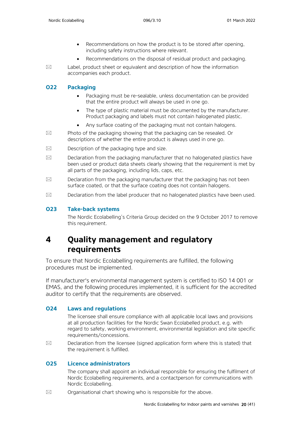- Recommendations on how the product is to be stored after opening, including safety instructions where relevant.
- Recommendations on the disposal of residual product and packaging.
- 

 $\boxtimes$  Label, product sheet or equivalent and description of how the information accompanies each product.

## **O22 Packaging**

- Packaging must be re-sealable, unless documentation can be provided that the entire product will always be used in one go.
- The type of plastic material must be documented by the manufacturer. Product packaging and labels must not contain halogenated plastic.
- Any surface coating of the packaging must not contain halogens.
- $\boxtimes$  Photo of the packaging showing that the packaging can be resealed. Or descriptions of whether the entire product is always used in one go.
- $\boxtimes$  Description of the packaging type and size.
- $\boxtimes$  Declaration from the packaging manufacturer that no halogenated plastics have been used or product data sheets clearly showing that the requirement is met by all parts of the packaging, including lids, caps, etc.
- $\boxtimes$  Declaration from the packaging manufacturer that the packaging has not been surface coated, or that the surface coating does not contain halogens.
- $\boxtimes$  Declaration from the label producer that no halogenated plastics have been used.

## **O23 Take-back systems**

The Nordic Ecolabelling's Criteria Group decided on the 9 October 2017 to remove this requirement.

## <span id="page-19-0"></span>**4 Quality management and regulatory requirements**

To ensure that Nordic Ecolabelling requirements are fulfilled, the following procedures must be implemented.

If manufacturer's environmental management system is certified to ISO 14 001 or EMAS, and the following procedures implemented, it is sufficient for the accredited auditor to certify that the requirements are observed.

## **O24 Laws and regulations**

The licensee shall ensure compliance with all applicable local laws and provisions at all production facilities for the Nordic Swan Ecolabelled product, e.g. with regard to safety, working environment, environmental legislation and site specific requirements/concessions.

 $\boxtimes$  Declaration from the licensee (signed application form where this is stated) that the requirement is fulfilled.

## **O25 Licence administrators**

The company shall appoint an individual responsible for ensuring the fulfilment of Nordic Ecolabelling requirements, and a contactperson for communications with Nordic Ecolabelling.

 $\boxtimes$  Organisational chart showing who is responsible for the above.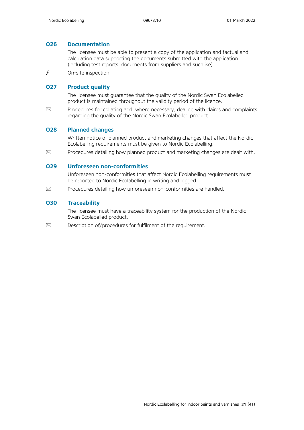## **O26 Documentation**

The licensee must be able to present a copy of the application and factual and calculation data supporting the documents submitted with the application (including test reports, documents from suppliers and suchlike).

 $\mathcal P$ On-site inspection.

## **O27 Product quality**

The licensee must guarantee that the quality of the Nordic Swan Ecolabelled product is maintained throughout the validity period of the licence.

 $\boxtimes$  Procedures for collating and, where necessary, dealing with claims and complaints regarding the quality of the Nordic Swan Ecolabelled product.

## **O28 Planned changes**

Written notice of planned product and marketing changes that affect the Nordic Ecolabelling requirements must be given to Nordic Ecolabelling.

 $\boxtimes$  Procedures detailing how planned product and marketing changes are dealt with.

### **O29 Unforeseen non-conformities**

Unforeseen non-conformities that affect Nordic Ecolabelling requirements must be reported to Nordic Ecolabelling in writing and logged.

 $\boxtimes$  Procedures detailing how unforeseen non-conformities are handled.

## **O30 Traceability**

The licensee must have a traceability system for the production of the Nordic Swan Ecolabelled product.

<span id="page-20-0"></span> $\boxtimes$  Description of/procedures for fulfilment of the requirement.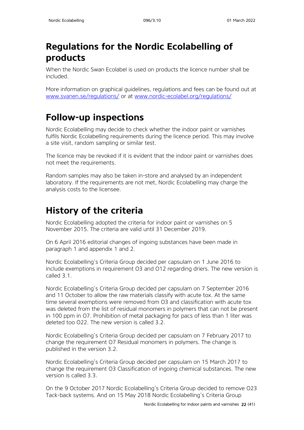# **Regulations for the Nordic Ecolabelling of products**

When the Nordic Swan Ecolabel is used on products the licence number shall be included.

More information on graphical guidelines, regulations and fees can be found out at [www.svanen.se/regulations/](http://www.svanen.se/regulations/) or at [www.nordic-ecolabel.org/regulations/](http://www.nordic-ecolabel.org/regulations/)

# <span id="page-21-0"></span>**Follow-up inspections**

Nordic Ecolabelling may decide to check whether the indoor paint or varnishes fulfils Nordic Ecolabelling requirements during the licence period. This may involve a site visit, random sampling or similar test.

The licence may be revoked if it is evident that the indoor paint or varnishes does not meet the requirements.

Random samples may also be taken in-store and analysed by an independent laboratory. If the requirements are not met, Nordic Ecolabelling may charge the analysis costs to the licensee.

# <span id="page-21-1"></span>**History of the criteria**

Nordic Ecolabelling adopted the criteria for indoor paint or varnishes on 5 November 2015. The criteria are valid until 31 December 2019.

On 6 April 2016 editorial changes of ingoing substances have been made in paragraph 1 and appendix 1 and 2.

Nordic Ecolabelling's Criteria Group decided per capsulam on 1 June 2016 to include exemptions in requirement O3 and O12 regarding driers. The new version is called 3.1.

Nordic Ecolabelling's Criteria Group decided per capsulam on 7 September 2016 and 11 October to allow the raw materials classify with acute tox. At the same time several exemptions were removed from O3 and classification with acute tox was deleted from the list of residual monomers in polymers that can not be present in 100 ppm in O7. Prohibition of metal packaging for pacs of less than 1 liter was deleted too O22. The new version is called 3.2.

Nordic Ecolabelling's Criteria Group decided per capsulam on 7 February 2017 to change the requirement O7 Residual monomers in polymers. The change is published in the version 3.2.

Nordic Ecolabelling's Criteria Group decided per capsulam on 15 March 2017 to change the requirement O3 Classification of ingoing chemical substances. The new version is called 3.3.

On the 9 October 2017 Nordic Ecolabelling's Criteria Group decided to remove O23 Tack-back systems. And on 15 May 2018 Nordic Ecolabelling's Criteria Group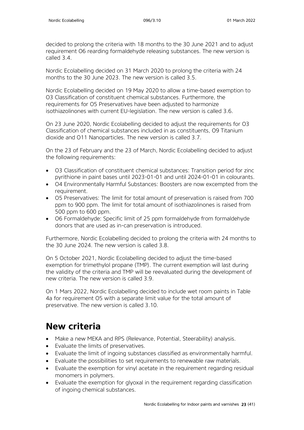decided to prolong the criteria with 18 months to the 30 June 2021 and to adjust requirement O6 rearding formaldehyde releasing substances. The new version is called 3.4.

Nordic Ecolabelling decided on 31 March 2020 to prolong the criteria with 24 months to the 30 June 2023. The new version is called 3.5

Nordic Ecolabelling decided on 19 May 2020 to allow a time-based exemption to O3 Classification of constituent chemical substances. Furthermore, the requirements for O5 Preservatives have been adjusted to harmonize isothiazolinones with current EU-legislation. The new version is called 3.6.

On 23 June 2020, Nordic Ecolabelling decided to adjust the requirements for O3 Classification of chemical substances included in as constituents, O9 Titanium dioxide and O11 Nanoparticles. The new version is called 3.7.

On the 23 of February and the 23 of March, Nordic Ecolabelling decided to adjust the following requirements:

- O3 Classification of constituent chemical substances: Transition period for zinc pyrithione in paint bases until 2023-01-01 and until 2024-01-01 in colourants.
- O4 Environmentally Harmful Substances: Boosters are now excempted from the requirement.
- O5 Preservatives: The limit for total amount of preservation is raised from 700 ppm to 900 ppm. The limit for total amount of isothiazolinones is raised from 500 ppm to 600 ppm.
- O6 Formaldehyde: Specific limit of 25 ppm formaldehyde from formaldehyde donors that are used as in-can preservation is introduced.

Furthermore, Nordic Ecolabelling decided to prolong the criteria with 24 months to the 30 June 2024. The new version is called 3.8.

On 5 October 2021, Nordic Ecolabelling decided to adjust the time-based exemption for trimethylol propane (TMP). The current exemption will last during the validity of the criteria and TMP will be reevaluated during the development of new criteria. The new version is called 3.9.

On 1 Mars 2022, Nordic Ecolabelling decided to include wet room paints in Table 4a for requirement O5 with a separate limit value for the total amount of preservative. The new version is called 3.10.

# <span id="page-22-0"></span>**New criteria**

- Make a new MEKA and RPS (Relevance, Potential, Steerability) analysis.
- Evaluate the limits of preservatives.
- Evaluate the limit of ingoing substances classified as environmentally harmful.
- Evaluate the possibilities to set requirements to renewable raw materials.
- Evaluate the exemption for vinyl acetate in the requirement regarding residual monomers in polymers.
- Evaluate the exemption for glyoxal in the requirement regarding classification of ingoing chemical substances.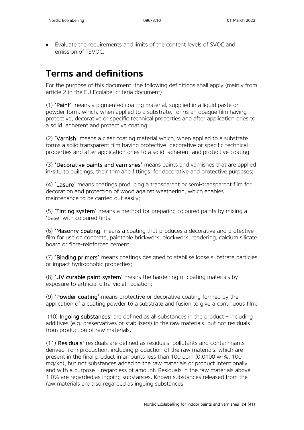• Evaluate the requirements and limits of the content levels of SVOC and emission of TSVOC.

# <span id="page-23-0"></span>**Terms and definitions**

For the purpose of this document, the following definitions shall apply (mainly from article 2 in the EU Ecolabel criteria document):

(1) 'Paint' means a pigmented coating material, supplied in a liquid paste or powder form, which, when applied to a substrate, forms an opaque film having protective, decorative or specific technical properties and after application dries to a solid, adherent and protective coating;

(2) 'Varnish' means a clear coating material which, when applied to a substrate forms a solid transparent film having protective, decorative or specific technical properties and after application dries to a solid, adherent and protective coating;

(3) 'Decorative paints and varnishes' means paints and varnishes that are applied in-situ to buildings, their trim and fittings, for decorative and protective purposes;

(4) 'Lasure' means coatings producing a transparent or semi-transparent film for decoration and protection of wood against weathering, which enables maintenance to be carried out easily;

(5) 'Tinting system' means a method for preparing coloured paints by mixing a 'base' with coloured tints;

(6) 'Masonry coating' means a coating that produces a decorative and protective film for use on concrete, paintable brickwork, blockwork, rendering, calcium silicate board or fibre-reinforced cement;

(7) 'Binding primers' means coatings designed to stabilise loose substrate particles or impact hydrophobic properties;

(8) 'UV curable paint system' means the hardening of coating materials by exposure to artificial ultra-violet radiation;

(9) 'Powder coating' means protective or decorative coating formed by the application of a coating powder to a substrate and fusion to give a continuous film;

(10) Ingoing substances' are defined as all substances in the product – including additives (e.g. preservatives or stabilisers) in the raw materials, but not residuals from production of raw materials.

(11) Residuals' residuals are defined as residuals, pollutants and contaminants derived from production, including production of the raw materials, which are present in the final product in amounts less than 100 ppm (0,0100 w-%, 100 mg/kg), but not substances added to the raw materials or product intentionally and with a purpose – regardless of amount. Residuals in the raw materials above 1,0% are regarded as ingoing substances. Known substances released from the raw materials are also regarded as ingoing substances.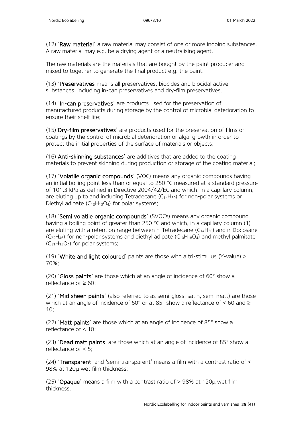(12) 'Raw material' a raw material may consist of one or more ingoing substances. A raw material may e.g. be a drying agent or a neutralising agent.

The raw materials are the materials that are bought by the paint producer and mixed to together to generate the final product e.g. the paint.

(13) 'Preservatives means all preservatives, biocides and biocidal active substances, including in-can preservatives and dry-film preservatives.

(14) 'In-can preservatives' are products used for the preservation of manufactured products during storage by the control of microbial deterioration to ensure their shelf life;

(15)'Dry-film preservatives' are products used for the preservation of films or coatings by the control of microbial deterioration or algal growth in order to protect the initial properties of the surface of materials or objects;

(16)'Anti-skinning substances' are additives that are added to the coating materials to prevent skinning during production or storage of the coating material;

(17) 'Volatile organic compounds' (VOC) means any organic compounds having an initial boiling point less than or equal to 250 °C measured at a standard pressure of 101.3 kPa as defined in Directive 2004/42/EC and which, in a capillary column, are eluting up to and including Tetradecane  $(C_{14}H_{30})$  for non-polar systems or Diethyl adipate  $(C_{10}H_{18}O_4)$  for polar systems;

(18) 'Semi volatile organic compounds' (SVOCs) means any organic compound having a boiling point of greater than 250 °C and which, in a capillary column (1) are eluting with a retention range between n-Tetradecane  $(C_{14}H_{30})$  and n-Docosane  $(C_{22}H_{46})$  for non-polar systems and diethyl adipate  $(C_{10}H_{18}O_4)$  and methyl palmitate  $(C_{17}H_{34}O_2)$  for polar systems:

(19) 'White and light coloured' paints are those with a tri-stimulus (Y-value) > 70%;

(20) 'Gloss paints' are those which at an angle of incidence of 60° show a reflectance of  $> 60$ ;

(21) 'Mid sheen paints' (also referred to as semi-gloss, satin, semi matt) are those which at an angle of incidence of 60° or at 85° show a reflectance of < 60 and ≥ 10;

(22) 'Matt paints' are those which at an angle of incidence of 85° show a reflectance of < 10;

(23) 'Dead matt paints' are those which at an angle of incidence of 85° show a reflectance of < 5;

(24) 'Transparent' and 'semi-transparent' means a film with a contrast ratio of < 98% at 120μ wet film thickness;

(25) 'Opaque' means a film with a contrast ratio of > 98% at 120μ wet film thickness.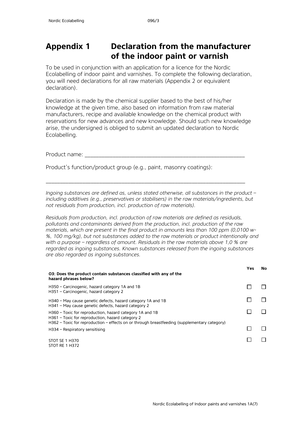## <span id="page-25-0"></span>**Appendix 1 Declaration from the manufacturer of the indoor paint or varnish**

To be used in conjunction with an application for a licence for the Nordic Ecolabelling of indoor paint and varnishes. To complete the following declaration, you will need declarations for all raw materials (Appendix 2 or equivalent declaration).

Declaration is made by the chemical supplier based to the best of his/her knowledge at the given time, also based on information from raw material manufacturers, recipe and available knowledge on the chemical product with reservations for new advances and new knowledge. Should such new knowledge arise, the undersigned is obliged to submit an updated declaration to Nordic Ecolabelling.

Product name:

Product's function/product group (e.g., paint, masonry coatings):

*Ingoing substances are defined as, unless stated otherwise, all substances in the product – including additives (e.g., preservatives or stabilisers) in the raw materials/ingredients, but not residuals from production, incl. production of raw materials).*

\_\_\_\_\_\_\_\_\_\_\_\_\_\_\_\_\_\_\_\_\_\_\_\_\_\_\_\_\_\_\_\_\_\_\_\_\_\_\_\_\_\_\_\_\_\_\_\_\_\_\_\_\_\_\_\_\_\_\_\_\_\_\_\_\_\_\_\_\_\_\_

*Residuals from production, incl. production of raw materials are defined as residuals, pollutants and contaminants derived from the production, incl. production of the raw materials, which are present in the final product in amounts less than 100 ppm (0,0100 w- %, 100 mg/kg), but not substances added to the raw materials or product intentionally and with a purpose – regardless of amount. Residuals in the raw materials above 1,0 % are regarded as ingoing substances. Known substances released from the ingoing substances are also regarded as ingoing substances.*

|                                                                                                                                                                                                                | Yes | No. |
|----------------------------------------------------------------------------------------------------------------------------------------------------------------------------------------------------------------|-----|-----|
| O3: Does the product contain substances classified with any of the<br>hazard phrases below?                                                                                                                    |     |     |
| H350 – Carcinogenic, hazard category 1A and 1B<br>H351 - Carcinogenic, hazard category 2                                                                                                                       |     |     |
| H340 – May cause genetic defects, hazard category 1A and 1B<br>H341 - May cause genetic defects, hazard category 2                                                                                             |     |     |
| H360 – Toxic for reproduction, hazard category 1A and 1B<br>H361 – Toxic for reproduction, hazard category 2<br>$H362$ – Toxic for reproduction – effects on or through breastfeeding (supplementary category) |     |     |
| H334 - Respiratory sensitising                                                                                                                                                                                 |     |     |
| STOT SE 1 H370<br>STOT RE 1 H372                                                                                                                                                                               |     |     |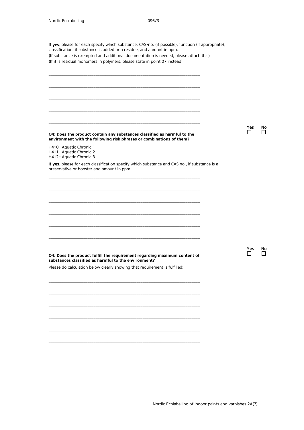H410– Aquatic Chronic 1 H411– Aquatic Chronic 2 H412– Aquatic Chronic 3

preservative or booster and amount in ppm:

If yes, please for each specify which substance, CAS-no. (if possible), function (if appropriate), classification, if substance is added or a residue, and amount in ppm: (If substance is exempted and additional documentation is needed, please attach this) (If it is residual monomers in polymers, please state in point 07 instead)

\_\_\_\_\_\_\_\_\_\_\_\_\_\_\_\_\_\_\_\_\_\_\_\_\_\_\_\_\_\_\_\_\_\_\_\_\_\_\_\_\_\_\_\_\_\_\_\_\_\_\_\_\_\_\_\_\_\_\_\_\_\_\_\_\_\_\_\_\_\_\_\_\_\_

\_\_\_\_\_\_\_\_\_\_\_\_\_\_\_\_\_\_\_\_\_\_\_\_\_\_\_\_\_\_\_\_\_\_\_\_\_\_\_\_\_\_\_\_\_\_\_\_\_\_\_\_\_\_\_\_\_\_\_\_\_\_\_\_\_\_\_\_\_\_\_\_\_\_

\_\_\_\_\_\_\_\_\_\_\_\_\_\_\_\_\_\_\_\_\_\_\_\_\_\_\_\_\_\_\_\_\_\_\_\_\_\_\_\_\_\_\_\_\_\_\_\_\_\_\_\_\_\_\_\_\_\_\_\_\_\_\_\_\_\_\_\_\_\_\_\_\_\_

\_\_\_\_\_\_\_\_\_\_\_\_\_\_\_\_\_\_\_\_\_\_\_\_\_\_\_\_\_\_\_\_\_\_\_\_\_\_\_\_\_\_\_\_\_\_\_\_\_\_\_\_\_\_\_\_\_\_\_\_\_\_\_\_\_\_\_\_\_\_\_\_\_\_

\_\_\_\_\_\_\_\_\_\_\_\_\_\_\_\_\_\_\_\_\_\_\_\_\_\_\_\_\_\_\_\_\_\_\_\_\_\_\_\_\_\_\_\_\_\_\_\_\_\_\_\_\_\_\_\_\_\_\_\_\_\_\_\_\_\_\_\_\_\_\_\_\_\_

\_\_\_\_\_\_\_\_\_\_\_\_\_\_\_\_\_\_\_\_\_\_\_\_\_\_\_\_\_\_\_\_\_\_\_\_\_\_\_\_\_\_\_\_\_\_\_\_\_\_\_\_\_\_\_\_\_\_\_\_\_\_\_\_\_\_\_\_\_\_\_\_\_\_

\_\_\_\_\_\_\_\_\_\_\_\_\_\_\_\_\_\_\_\_\_\_\_\_\_\_\_\_\_\_\_\_\_\_\_\_\_\_\_\_\_\_\_\_\_\_\_\_\_\_\_\_\_\_\_\_\_\_\_\_\_\_\_\_\_\_\_\_\_\_\_\_\_\_

\_\_\_\_\_\_\_\_\_\_\_\_\_\_\_\_\_\_\_\_\_\_\_\_\_\_\_\_\_\_\_\_\_\_\_\_\_\_\_\_\_\_\_\_\_\_\_\_\_\_\_\_\_\_\_\_\_\_\_\_\_\_\_\_\_\_\_\_\_\_\_\_\_\_

\_\_\_\_\_\_\_\_\_\_\_\_\_\_\_\_\_\_\_\_\_\_\_\_\_\_\_\_\_\_\_\_\_\_\_\_\_\_\_\_\_\_\_\_\_\_\_\_\_\_\_\_\_\_\_\_\_\_\_\_\_\_\_\_\_\_\_\_\_\_\_\_\_\_

\_\_\_\_\_\_\_\_\_\_\_\_\_\_\_\_\_\_\_\_\_\_\_\_\_\_\_\_\_\_\_\_\_\_\_\_\_\_\_\_\_\_\_\_\_\_\_\_\_\_\_\_\_\_\_\_\_\_\_\_\_\_\_\_\_\_\_\_\_\_\_\_\_\_

\_\_\_\_\_\_\_\_\_\_\_\_\_\_\_\_\_\_\_\_\_\_\_\_\_\_\_\_\_\_\_\_\_\_\_\_\_\_\_\_\_\_\_\_\_\_\_\_\_\_\_\_\_\_\_\_\_\_\_\_\_\_\_\_\_\_\_\_\_\_\_\_\_\_

If yes, please for each classification specify which substance and CAS no., if substance is a

**O4: Does the product contain any substances classified as harmful to the environment with the following risk phrases or combinations of them?**

Yes No<br>□ □ П

Yes No<br>  $\Box$ 

**O4: Does the product fulfill the requirement regarding maximum content of substances classified as harmful to the environment?**

\_\_\_\_\_\_\_\_\_\_\_\_\_\_\_\_\_\_\_\_\_\_\_\_\_\_\_\_\_\_\_\_\_\_\_\_\_\_\_\_\_\_\_\_\_\_\_\_\_\_\_\_\_\_\_\_\_\_\_\_\_\_\_\_\_\_\_\_\_\_\_\_\_\_

\_\_\_\_\_\_\_\_\_\_\_\_\_\_\_\_\_\_\_\_\_\_\_\_\_\_\_\_\_\_\_\_\_\_\_\_\_\_\_\_\_\_\_\_\_\_\_\_\_\_\_\_\_\_\_\_\_\_\_\_\_\_\_\_\_\_\_\_\_\_\_\_\_\_

\_\_\_\_\_\_\_\_\_\_\_\_\_\_\_\_\_\_\_\_\_\_\_\_\_\_\_\_\_\_\_\_\_\_\_\_\_\_\_\_\_\_\_\_\_\_\_\_\_\_\_\_\_\_\_\_\_\_\_\_\_\_\_\_\_\_\_\_\_\_\_\_\_\_

\_\_\_\_\_\_\_\_\_\_\_\_\_\_\_\_\_\_\_\_\_\_\_\_\_\_\_\_\_\_\_\_\_\_\_\_\_\_\_\_\_\_\_\_\_\_\_\_\_\_\_\_\_\_\_\_\_\_\_\_\_\_\_\_\_\_\_\_\_\_\_\_\_\_

\_\_\_\_\_\_\_\_\_\_\_\_\_\_\_\_\_\_\_\_\_\_\_\_\_\_\_\_\_\_\_\_\_\_\_\_\_\_\_\_\_\_\_\_\_\_\_\_\_\_\_\_\_\_\_\_\_\_\_\_\_\_\_\_\_\_\_\_\_\_\_\_\_\_

\_\_\_\_\_\_\_\_\_\_\_\_\_\_\_\_\_\_\_\_\_\_\_\_\_\_\_\_\_\_\_\_\_\_\_\_\_\_\_\_\_\_\_\_\_\_\_\_\_\_\_\_\_\_\_\_\_\_\_\_\_\_\_\_\_\_\_\_\_\_\_\_\_\_

Please do calculation below clearly showing that requirement is fulfilled: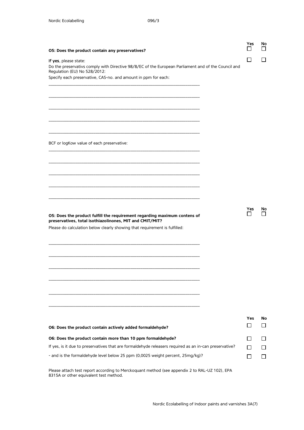| O5: Does the product contain any preservatives?                                                                                                              | Yes          | No        |
|--------------------------------------------------------------------------------------------------------------------------------------------------------------|--------------|-----------|
| If yes, please state:<br>Do the preservativs comply with Directive 98/8/EC of the European Parliament and of the Council and<br>Regulation (EU) No 528/2012: | $\mathsf{L}$ |           |
| Specify each preservative, CAS-no. and amount in ppm for each:                                                                                               |              |           |
|                                                                                                                                                              |              |           |
|                                                                                                                                                              |              |           |
|                                                                                                                                                              |              |           |
| BCF or logKow value of each preservative:                                                                                                                    |              |           |
|                                                                                                                                                              |              |           |
|                                                                                                                                                              |              |           |
|                                                                                                                                                              |              |           |
| O5: Does the product fulfill the requirement regarding maximum contens of<br>preservatives, total isothiazolinones, MIT and CMIT/MIT?                        | <b>Yes</b>   | <b>No</b> |
| Please do calculation below clearly showing that requirement is fulfilled:                                                                                   |              |           |
|                                                                                                                                                              |              |           |
|                                                                                                                                                              |              |           |
|                                                                                                                                                              |              |           |
|                                                                                                                                                              |              |           |
|                                                                                                                                                              |              |           |
| O6: Does the product contain actively added formaldehyde?                                                                                                    | Yes<br>Γı    | No        |
| O6: Does the product contain more than 10 ppm formaldehyde?                                                                                                  |              |           |
| If yes, is it due to preservatives that are formaldehyde releasers required as an in-can preservative?                                                       | П            |           |
| - and is the formaldehyde level below 25 ppm (0,0025 weight percent, 25mg/kg)?                                                                               |              |           |

Please attach test report according to Merckoquant method (see appendix 2 to RAL-UZ 102), EPA 8315A or other equivalent test method.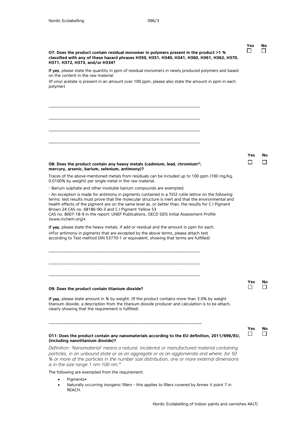**Yes No**

| O7: Does the product contain residual monomer in polymers present in the product >1 %<br>classified with any of these hazard phrases H350, H351, H340, H341, H360, H361, H362, H370,<br>H371, H372, H373, and/or H334?                                                                                                                                                                                                                                                                       |                     |                    |
|----------------------------------------------------------------------------------------------------------------------------------------------------------------------------------------------------------------------------------------------------------------------------------------------------------------------------------------------------------------------------------------------------------------------------------------------------------------------------------------------|---------------------|--------------------|
| If yes, please state the quantity in ppm of residual monomers in newly produced polymers and based<br>on the content in the raw material:                                                                                                                                                                                                                                                                                                                                                    |                     |                    |
| (If vinyl acetate is present in an amount over 100 ppm, please also state the amount in ppm in each<br>polymer)                                                                                                                                                                                                                                                                                                                                                                              |                     |                    |
|                                                                                                                                                                                                                                                                                                                                                                                                                                                                                              |                     |                    |
|                                                                                                                                                                                                                                                                                                                                                                                                                                                                                              |                     |                    |
|                                                                                                                                                                                                                                                                                                                                                                                                                                                                                              |                     |                    |
| O8: Does the product contain any heavy metals (cadmium, lead, chromium <sup>vi</sup> ,<br>mercury, arsenic, barium, selenium, antimony)?                                                                                                                                                                                                                                                                                                                                                     | Yes                 | Nο<br>$\mathsf{L}$ |
| Traces of the above-mentioned metals from residuals can be included up to 100 ppm (100 mg/kg,<br>0.0100% by weight) per single metal in the raw material.                                                                                                                                                                                                                                                                                                                                    |                     |                    |
| - Barium sulphate and other insoluble barium compounds are exempted.                                                                                                                                                                                                                                                                                                                                                                                                                         |                     |                    |
| - An exception is made for antimony in pigments contained in a TiO2 rutile lattice on the following<br>terms: test results must prove that the molecular structure is inert and that the environmental and<br>health effects of the pigment are on the same level as, or better than, the results for C.I Pigment<br>Brown 24 CAS no. 68186-90-3 and C.I Pigment Yellow 53<br>CAS no. 8007-18-9 in the report: UNEF Publications, OECD SIDS Initial Assessment Profile<br>(www.inchem.org)*. |                     |                    |
| If yes, please state the heavy metals, if add or residual and the amount in ppm for each:<br>(*For antimony in pigments that are excepted by the above terms, please attach test<br>according to Test method DIN 53770-1 or equivalent, showing that terms are fulfilled)                                                                                                                                                                                                                    |                     |                    |
|                                                                                                                                                                                                                                                                                                                                                                                                                                                                                              |                     |                    |
|                                                                                                                                                                                                                                                                                                                                                                                                                                                                                              | Yes                 | No                 |
| 09: Does the product contain titanium dioxide?                                                                                                                                                                                                                                                                                                                                                                                                                                               |                     |                    |
| If yes, please state amount in % by weight: (If the product contains more than 3.0% by weight<br>titanium dioxide, a description from the titanium dioxide producer and calculation is to be attach,<br>clearly showing that the requirement is fulfilled)                                                                                                                                                                                                                                   |                     |                    |
| O11: Does the product contain any nanomaterials according to the EU definition, 2011/696/EU,<br>(including nanotitanium dioxide)?                                                                                                                                                                                                                                                                                                                                                            | Yes<br>$\mathsf{I}$ | No<br>$\mathsf{L}$ |
| Definition: 'Nanomaterial' means a natural, incidental or manufactured material containing<br>particles, in an unbound state or as an aggregate or as an agglomerate and where, for 50<br>% or more of the particles in the number size distribution, one or more external dimensions                                                                                                                                                                                                        |                     |                    |

*is in the size range 1 nm-100 nm."*  The following are exempted from the requirement:

- Pigments\*
- Naturally occurring inorganic fillers this applies to fillers covered by Annex V point 7 in REACH.

Nordic Ecolabelling of Indoor paints and varnishes 4A(7)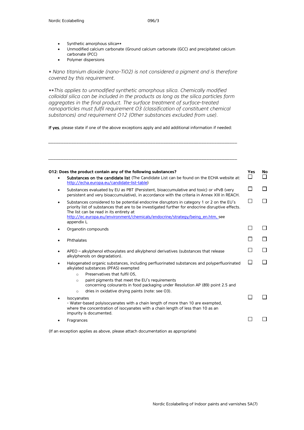- Synthetic amorphous silica\*\*
- Unmodified calcium carbonate (Ground calcium carbonate (GCC) and precipitated calcium carbonate (PCC)
- Polymer dispersions

*\* Nano titanium dioxide (nano-TiO2) is not considered a pigment and is therefore covered by this requirement.*

*\*\*This applies to unmodified synthetic amorphous silica. Chemically modified colloidal silica can be included in the products as long as the silica particles form aggregates in the final product. The surface treatment of surface-treated nanoparticles must fulfil requirement O3 (classification of constituent chemical substances) and requirement O12 (Other substances excluded from use).*

If yes, please state if one of the above exceptions apply and add additional information if needed:

*\_\_\_\_\_\_\_\_\_\_\_\_\_\_\_\_\_\_\_\_\_\_\_\_\_\_\_\_\_\_\_\_\_\_\_\_\_\_\_\_\_\_\_\_\_\_\_\_\_\_\_\_\_\_\_\_\_\_\_\_\_\_\_\_\_\_\_\_\_\_\_\_\_\_*

|           | O12: Does the product contain any of the following substances?                                                                                                                                                                                                                                                                                                                               | <b>Yes</b> | No |
|-----------|----------------------------------------------------------------------------------------------------------------------------------------------------------------------------------------------------------------------------------------------------------------------------------------------------------------------------------------------------------------------------------------------|------------|----|
| ٠         | Substances on the candidate list (The Candidate List can be found on the ECHA website at:<br>http://echa.europa.eu/candidate-list-table)                                                                                                                                                                                                                                                     |            |    |
| $\bullet$ | Substances evaluated by EU as PBT (Persistent, bioaccumulative and toxic) or vPvB (very<br>persistent and very bioaccumulative), in accordance with the criteria in Annex XIII in REACH.                                                                                                                                                                                                     |            |    |
| $\bullet$ | Substances considered to be potential endocrine disruptors in category 1 or 2 on the EU's<br>priority list of substances that are to be investigated further for endocrine disruptive effects.<br>The list can be read in its entirety at<br>http://ec.europa.eu/environment/chemicals/endocrine/strategy/being_en.htm, see<br>appendix L                                                    |            |    |
|           | Organotin compounds                                                                                                                                                                                                                                                                                                                                                                          |            |    |
|           | Phthalates                                                                                                                                                                                                                                                                                                                                                                                   |            |    |
| ٠         | APEO - alkylphenol ethoxylates and alkylphenol derivatives (substances that release<br>alkylphenols on degradation).                                                                                                                                                                                                                                                                         |            |    |
| ٠         | Halogenated organic substances, including perfluorinated substances and polyperfluorinated<br>alkylated substances (PFAS) exempted<br>Preservatives that fulfil O5,<br>$\circ$<br>paint pigments that meet the EU's requirements<br>$\circ$<br>concerning colourants in food packaging under Resolution AP (89) point 2.5 and<br>dries in oxidative drying paints (note: see O3).<br>$\circ$ |            |    |
|           | <b>Isocyanates</b><br>- Water-based polyisocyanates with a chain length of more than 10 are exempted.<br>where the concentration of isocyanates with a chain length of less than 10 as an<br>impurity is documented.                                                                                                                                                                         |            |    |
|           | Fragrances                                                                                                                                                                                                                                                                                                                                                                                   |            |    |
|           |                                                                                                                                                                                                                                                                                                                                                                                              |            |    |

(If an exception applies as above, please attach documentation as appropriate)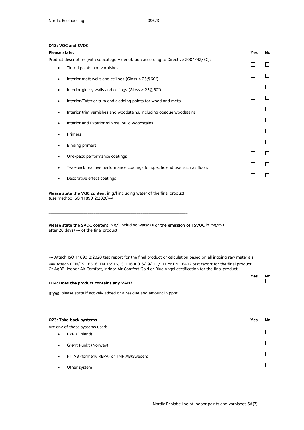#### **O13: VOC and SVOC**

Please state the VOC content in g/l including water of the final product

**\_\_\_\_\_\_\_\_\_\_\_\_\_\_\_\_\_\_\_\_\_\_\_\_\_\_\_\_\_\_\_\_\_\_\_\_\_\_\_\_\_\_\_\_\_\_\_\_\_\_\_\_\_\_\_\_\_\_\_\_\_\_\_\_\_\_\_\_**

**\_\_\_\_\_\_\_\_\_\_\_\_\_\_\_\_\_\_\_\_\_\_\_\_\_\_\_\_\_\_\_\_\_\_\_\_\_\_\_\_\_\_\_\_\_\_\_\_\_\_\_\_\_\_\_\_\_\_\_\_\_\_\_\_\_\_\_\_**

(use method ISO 11890-2:2020)\*\*:

Please state the SVOC content in g/l including water\*\* or the emission of TSVOC in mg/m3 after 28 days\*\*\* of the final product:

\*\* Attach ISO 11890-2:2020 test report for the final product or calculation based on all ingoing raw materials. \*\*\* Attach CEN/TS 16516, EN 16516, ISO 16000-6/-9/-10/-11 or EN 16402 test report for the final product. Or AgBB, Indoor Air Comfort, Indoor Air Comfort Gold or Blue Angel certification for the final product.

| 014: Does the product contains any VAH?                                | <b>Yes</b> | No |
|------------------------------------------------------------------------|------------|----|
| If yes, please state if actively added or a residue and amount in ppm: |            |    |
|                                                                        |            |    |
| 023: Take-back systems                                                 | <b>Yes</b> | No |
| Are any of these systems used:                                         |            |    |
| PYR (Finland)<br>$\bullet$                                             |            |    |
| Grønt Punkt (Norway)<br>$\bullet$                                      |            |    |
| FTi AB (formerly REPA) or TMR AB(Sweden)<br>٠                          |            |    |
| Other system                                                           |            |    |
|                                                                        |            |    |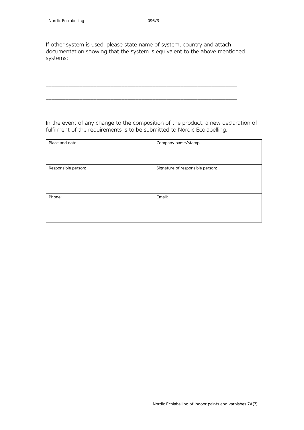If other system is used, please state name of system, country and attach documentation showing that the system is equivalent to the above mentioned systems:

\_\_\_\_\_\_\_\_\_\_\_\_\_\_\_\_\_\_\_\_\_\_\_\_\_\_\_\_\_\_\_\_\_\_\_\_\_\_\_\_\_\_\_\_\_\_\_\_\_\_\_\_\_\_\_\_\_\_\_\_\_\_\_\_\_\_\_\_

\_\_\_\_\_\_\_\_\_\_\_\_\_\_\_\_\_\_\_\_\_\_\_\_\_\_\_\_\_\_\_\_\_\_\_\_\_\_\_\_\_\_\_\_\_\_\_\_\_\_\_\_\_\_\_\_\_\_\_\_\_\_\_\_\_\_\_\_

\_\_\_\_\_\_\_\_\_\_\_\_\_\_\_\_\_\_\_\_\_\_\_\_\_\_\_\_\_\_\_\_\_\_\_\_\_\_\_\_\_\_\_\_\_\_\_\_\_\_\_\_\_\_\_\_\_\_\_\_\_\_\_\_\_\_\_\_

In the event of any change to the composition of the product, a new declaration of fulfilment of the requirements is to be submitted to Nordic Ecolabelling.

| Place and date:     | Company name/stamp:              |
|---------------------|----------------------------------|
| Responsible person: | Signature of responsible person: |
| Phone:              | Email:                           |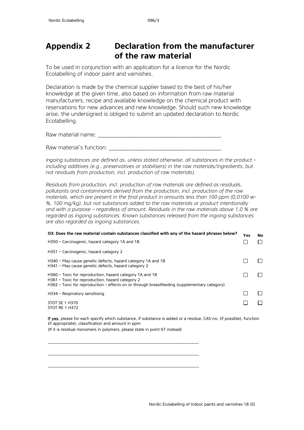## <span id="page-32-0"></span>**Appendix 2 Declaration from the manufacturer of the raw material**

To be used in conjunction with an application for a licence for the Nordic Ecolabelling of indoor paint and varnishes.

Declaration is made by the chemical supplier based to the best of his/her knowledge at the given time, also based on information from raw material manufacturers, recipe and available knowledge on the chemical product with reservations for new advances and new knowledge. Should such new knowledge arise, the undersigned is obliged to submit an updated declaration to Nordic Ecolabelling.

Raw material name: \_\_\_\_\_\_\_\_\_\_\_\_\_\_\_\_\_\_\_\_\_\_\_\_\_\_\_\_\_\_\_\_\_\_\_\_\_\_\_\_\_\_\_\_

Raw material's function: **Example 2018** 

*Ingoing substances are defined as, unless stated otherwise, all substances in the product – including additives (e.g., preservatives or stabilisers) in the raw materials/ingredients, but not residuals from production, incl. production of raw materials).*

*Residuals from production, incl. production of raw materials are defined as residuals, pollutants and contaminants derived from the production, incl. production of the raw materials, which are present in the final product in amounts less than 100 ppm (0,0100 w- %, 100 mg/kg), but not substances added to the raw materials or product intentionally and with a purpose – regardless of amount. Residuals in the raw materials above 1,0 % are regarded as ingoing substances. Known substances released from the ingoing substances are also regarded as ingoing substances.*

| O3: Does the raw material contain substances classified with any of the hazard phrases below?                                                                                                                | Yes | <b>No</b> |
|--------------------------------------------------------------------------------------------------------------------------------------------------------------------------------------------------------------|-----|-----------|
| H350 – Carcinogenic, hazard category 1A and 1B                                                                                                                                                               |     |           |
| H351 - Carcinogenic, hazard category 2                                                                                                                                                                       |     |           |
| H340 – May cause genetic defects, hazard category 1A and 1B<br>H341 - May cause genetic defects, hazard category 2                                                                                           |     |           |
| H360 – Toxic for reproduction, hazard category 1A and 1B<br>H361 - Toxic for reproduction, hazard category 2<br>H362 – Toxic for reproduction – effects on or through breastfeeding (supplementary category) |     |           |
| H334 - Respiratory sensitising                                                                                                                                                                               |     |           |
| STOT SE 1 H370<br><b>STOT RE 1 H372</b>                                                                                                                                                                      |     |           |

If yes, please for each specify which substance, if substance is added or a residue, CAS-no. (if possible), function (if appropriate), classification and amount in ppm: (If it is residual monomers in polymers, please state in point 07 instead)

\_\_\_\_\_\_\_\_\_\_\_\_\_\_\_\_\_\_\_\_\_\_\_\_\_\_\_\_\_\_\_\_\_\_\_\_\_\_\_\_\_\_\_\_\_\_\_\_\_\_\_\_\_\_\_\_\_\_\_\_\_\_\_\_\_\_\_\_\_\_\_\_\_\_

\_\_\_\_\_\_\_\_\_\_\_\_\_\_\_\_\_\_\_\_\_\_\_\_\_\_\_\_\_\_\_\_\_\_\_\_\_\_\_\_\_\_\_\_\_\_\_\_\_\_\_\_\_\_\_\_\_\_\_\_\_\_\_\_\_\_\_\_\_\_\_\_\_\_

\_\_\_\_\_\_\_\_\_\_\_\_\_\_\_\_\_\_\_\_\_\_\_\_\_\_\_\_\_\_\_\_\_\_\_\_\_\_\_\_\_\_\_\_\_\_\_\_\_\_\_\_\_\_\_\_\_\_\_\_\_\_\_\_\_\_\_\_\_\_\_\_\_\_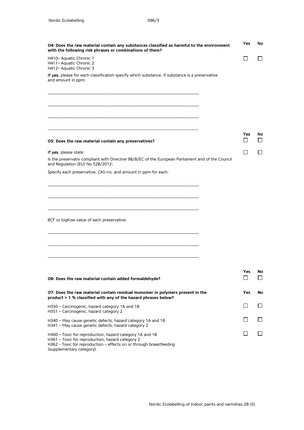| O4: Does the raw material contain any substances classified as harmful to the environment<br>with the following risk phrases or combinations of them?                                                           |            |         |  |  |  |  |
|-----------------------------------------------------------------------------------------------------------------------------------------------------------------------------------------------------------------|------------|---------|--|--|--|--|
| H410- Aquatic Chronic 1<br>H411- Aquatic Chronic 2<br>H412- Aquatic Chronic 3                                                                                                                                   | ΙI         |         |  |  |  |  |
| If yes, please for each classification specify which substance, if substance is a preservative<br>and amount in ppm:                                                                                            |            |         |  |  |  |  |
|                                                                                                                                                                                                                 |            |         |  |  |  |  |
|                                                                                                                                                                                                                 |            |         |  |  |  |  |
|                                                                                                                                                                                                                 |            |         |  |  |  |  |
| O5: Does the raw material contain any preservatives?                                                                                                                                                            | Yes        | No      |  |  |  |  |
| If yes, please state:                                                                                                                                                                                           |            |         |  |  |  |  |
| Is the preservativ compliant with Directive 98/8/EC of the European Parliament and of the Council<br>and Regulation (EU) No 528/2012:                                                                           |            |         |  |  |  |  |
| Specify each preservative, CAS-no. and amount in ppm for each:                                                                                                                                                  |            |         |  |  |  |  |
|                                                                                                                                                                                                                 |            |         |  |  |  |  |
|                                                                                                                                                                                                                 |            |         |  |  |  |  |
| BCF or logKow value of each preservative:                                                                                                                                                                       |            |         |  |  |  |  |
|                                                                                                                                                                                                                 |            |         |  |  |  |  |
|                                                                                                                                                                                                                 |            |         |  |  |  |  |
|                                                                                                                                                                                                                 | <b>Yes</b> | NO      |  |  |  |  |
| O6: Does the raw material contain added formaldehyde?                                                                                                                                                           |            | l 1     |  |  |  |  |
| O7: Does the raw material contain residual monomer in polymers present in the<br>product > 1 % classified with any of the hazard phrases below?                                                                 | Yes        | No      |  |  |  |  |
| H350 - Carcinogenic, hazard category 1A and 1B<br>H351 - Carcinogenic, hazard category 2                                                                                                                        |            |         |  |  |  |  |
| H340 - May cause genetic defects, hazard category 1A and 1B<br>H341 - May cause genetic defects, hazard category 2                                                                                              |            | $\perp$ |  |  |  |  |
| H360 - Toxic for reproduction, hazard category 1A and 1B<br>H361 - Toxic for reproduction, hazard category 2<br>H362 - Toxic for reproduction - effects on or through breastfeeding<br>(supplementary category) |            |         |  |  |  |  |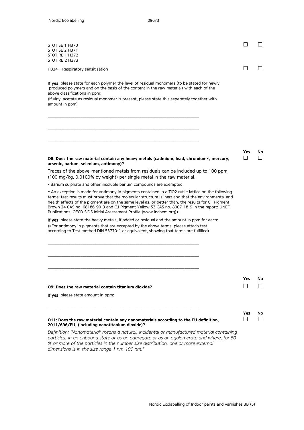$\Box$ 

| STOT SE 1 H370<br><b>STOT SE 2 H371</b><br>STOT RE 1 H372<br>STOT RE 2 H373                                                                                                                                                                                                                                                                                                                                                                                                               |            |    |
|-------------------------------------------------------------------------------------------------------------------------------------------------------------------------------------------------------------------------------------------------------------------------------------------------------------------------------------------------------------------------------------------------------------------------------------------------------------------------------------------|------------|----|
| H334 - Respiratory sensitisation                                                                                                                                                                                                                                                                                                                                                                                                                                                          |            |    |
| If yes, please state for each polymer the level of residual monomers (to be stated for newly<br>produced polymers and on the basis of the content in the raw material) with each of the<br>above classifications in ppm:<br>(If vinyl acetate as residual monomer is present, please state this seperately together with<br>amount in ppm)                                                                                                                                                |            |    |
|                                                                                                                                                                                                                                                                                                                                                                                                                                                                                           |            |    |
| O8: Does the raw material contain any heavy metals (cadmium, lead, chromium <sup>v</sup> ', mercury,<br>arsenic, barium, selenium, antimony)?                                                                                                                                                                                                                                                                                                                                             | <b>Yes</b> | No |
| Traces of the above-mentioned metals from residuals can be included up to 100 ppm                                                                                                                                                                                                                                                                                                                                                                                                         |            |    |
| (100 mg/kg, 0.0100% by weight) per single metal in the raw material.<br>- Barium sulphate and other insoluble barium compounds are exempted.                                                                                                                                                                                                                                                                                                                                              |            |    |
| - An exception is made for antimony in pigments contained in a TiO2 rutile lattice on the following<br>terms: test results must prove that the molecular structure is inert and that the environmental and<br>health effects of the pigment are on the same level as, or better than, the results for C.I Pigment<br>Brown 24 CAS no. 68186-90-3 and C.I Pigment Yellow 53 CAS no. 8007-18-9 in the report: UNEF<br>Publications, OECD SIDS Initial Assessment Profile (www.inchem.org)*. |            |    |
| If yes, please state the heavy metals, if added or residual and the amount in ppm for each:<br>(*For antimony in pigments that are excepted by the above terms, please attach test<br>according to Test method DIN 53770-1 or equivalent, showing that terms are fulfilled)                                                                                                                                                                                                               |            |    |
|                                                                                                                                                                                                                                                                                                                                                                                                                                                                                           |            |    |
|                                                                                                                                                                                                                                                                                                                                                                                                                                                                                           | Yes        | No |
| O9: Does the raw material contain titanium dioxide?                                                                                                                                                                                                                                                                                                                                                                                                                                       |            |    |
| If yes, please state amount in ppm:                                                                                                                                                                                                                                                                                                                                                                                                                                                       |            |    |
|                                                                                                                                                                                                                                                                                                                                                                                                                                                                                           | Yes        | No |
| 011: Does the raw material contain any nanomaterials according to the EU definition,<br>2011/696/EU, (including nanotitanium dioxide)?                                                                                                                                                                                                                                                                                                                                                    |            |    |
| Definition: 'Nanomaterial' means a natural, incidental or manufactured material containing<br>particles, in an unbound state or as an aggregate or as an agglomerate and where, for 50                                                                                                                                                                                                                                                                                                    |            |    |

*% or more of the particles in the number size distribution, one or more external dimensions is in the size range 1 nm-100 nm."*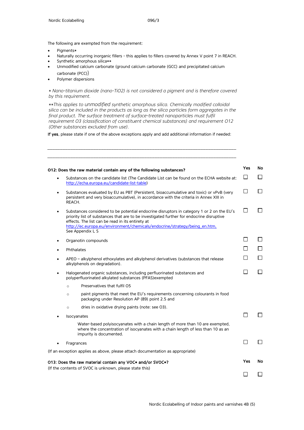The following are exempted from the requirement:

- Pigments\*
- Naturally occurring inorganic fillers this applies to fillers covered by Annex V point 7 in REACH.
- Synthetic amorphous silica\*\*
- Unmodified calcium carbonate (ground calcium carbonate (GCC) and precipitated calcium carbonate (PCC))
- Polymer dispersions

*\* Nano-titanium dioxide (nano-TiO2) is not considered a pigment and is therefore covered by this requirement.*

*\*\*This applies to unmodified synthetic amorphous silica. Chemically modified colloidal silica can be included in the products as long as the silica particles form aggregates in the*  final product. The surface treatment of surface-treated nanoparticles must fulfil *requirement O3 (classification of constituent chemical substances) and requirement O12 (Other substances excluded from use).* 

If yes, please state if one of the above exceptions apply and add additional information if needed:

| O12: Does the raw material contain any of the following substances? |                                                                                                                                                                                                                                                                                                                                             |              |              |  |  |  |
|---------------------------------------------------------------------|---------------------------------------------------------------------------------------------------------------------------------------------------------------------------------------------------------------------------------------------------------------------------------------------------------------------------------------------|--------------|--------------|--|--|--|
| $\bullet$                                                           | Substances on the candidate list (The Candidate List can be found on the ECHA website at:<br>http://echa.europa.eu/candidate-list-table)                                                                                                                                                                                                    |              |              |  |  |  |
| $\bullet$                                                           | Substances evaluated by EU as PBT (Persistent, bioaccumulative and toxic) or vPvB (very<br>persistent and very bioaccumulative), in accordance with the criteria in Annex XIII in<br>REACH.                                                                                                                                                 |              |              |  |  |  |
| $\bullet$                                                           | Substances considered to be potential endocrine disruptors in category 1 or 2 on the EU's<br>priority list of substances that are to be investigated further for endocrine disruptive<br>effects. The list can be read in its entirety at<br>http://ec.europa.eu/environment/chemicals/endocrine/strategy/being en.htm.<br>See Appendix L S | П            | $\mathsf{L}$ |  |  |  |
| $\bullet$                                                           | Organotin compounds                                                                                                                                                                                                                                                                                                                         | $\mathbf{I}$ |              |  |  |  |
|                                                                     | Phthalates                                                                                                                                                                                                                                                                                                                                  |              |              |  |  |  |
| $\bullet$                                                           | APEO - alkylphenol ethoxylates and alkylphenol derivatives (substances that release<br>alkylphenols on degradation).                                                                                                                                                                                                                        |              |              |  |  |  |
| $\bullet$                                                           | Halogenated organic substances, including perfluorinated substances and<br>polyperfluorinated alkylated substances (PFAS)exempted                                                                                                                                                                                                           |              |              |  |  |  |
|                                                                     | Preservatives that fulfil O5<br>$\circ$                                                                                                                                                                                                                                                                                                     |              |              |  |  |  |
|                                                                     | paint pigments that meet the EU's requirements concerning colourants in food<br>$\circ$<br>packaging under Resolution AP (89) point 2.5 and                                                                                                                                                                                                 |              |              |  |  |  |
|                                                                     | dries in oxidative drying paints (note: see O3).<br>$\circ$                                                                                                                                                                                                                                                                                 |              |              |  |  |  |
|                                                                     | Isocyanates                                                                                                                                                                                                                                                                                                                                 |              |              |  |  |  |
|                                                                     | Water-based polyisocyanates with a chain length of more than 10 are exempted,<br>where the concentration of isocyanates with a chain length of less than 10 as an<br>impurity is documented.                                                                                                                                                |              |              |  |  |  |
| Fragrances                                                          |                                                                                                                                                                                                                                                                                                                                             |              |              |  |  |  |
|                                                                     | (If an exception applies as above, please attach documentation as appropriate)                                                                                                                                                                                                                                                              |              |              |  |  |  |
|                                                                     | 013: Does the raw material contain any VOC* and/or SVOC*?                                                                                                                                                                                                                                                                                   | Yes          | No.          |  |  |  |
|                                                                     | (If the contents of SVOC is unknown, please state this)                                                                                                                                                                                                                                                                                     |              |              |  |  |  |
|                                                                     |                                                                                                                                                                                                                                                                                                                                             |              |              |  |  |  |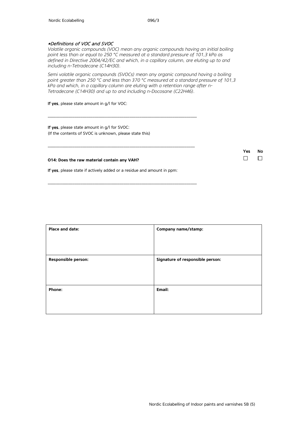#### \*Definitions of VOC and SVOC

*Volatile organic compounds (VOC) mean any organic compounds having an initial boiling point less than or equal to 250 °C measured at a standard pressure of 101,3 kPa as defined in Directive 2004/42/EC and which, in a capillary column, are eluting up to and including n-Tetradecane (C14H30).*

*Semi volatile organic compounds (SVOCs) mean any organic compound having a boiling point greater than 250 °C and less than 370 °C measured at a standard pressure of 101,3 kPa and which, in a capillary column are eluting with a retention range after n-Tetradecane (C14H30) and up to and including n-Docosane (C22H46).* 

If yes, please state amount in g/l for VOC:

If yes, please state amount in g/l for SVOC: (If the contents of SVOC is unknown, please state this)

**O14: Does the raw material contain any VAH?**

If yes, please state if actively added or a residue and amount in ppm:

\_\_\_\_\_\_\_\_\_\_\_\_\_\_\_\_\_\_\_\_\_\_\_\_\_\_\_\_\_\_\_\_\_\_\_\_\_\_\_\_\_\_\_\_\_\_\_\_\_\_\_\_\_\_\_\_\_\_\_\_\_\_\_\_\_\_\_\_\_\_\_\_\_

\_\_\_\_\_\_\_\_\_\_\_\_\_\_\_\_\_\_\_\_\_\_\_\_\_\_\_\_\_\_\_\_\_\_\_\_\_\_\_\_\_\_\_\_\_\_\_\_\_\_\_\_\_\_\_\_\_\_\_\_\_\_\_\_\_\_\_\_\_\_\_\_

\_\_\_\_\_\_\_\_\_\_\_\_\_\_\_\_\_\_\_\_\_\_\_\_\_\_\_\_\_\_\_\_\_\_\_\_\_\_\_\_\_\_\_\_\_\_\_\_\_\_\_\_\_\_\_\_\_\_\_\_\_\_\_\_\_\_\_\_\_\_\_\_\_

| Place and date:            | Company name/stamp:              |
|----------------------------|----------------------------------|
| <b>Responsible person:</b> | Signature of responsible person: |
| Phone:                     | Email:                           |

where the contract of the contract of the contract of the contract of the contract of the contract of the contract of the contract of the contract of the contract of the contract of the contract of the contract of the cont

 $\Box$ 

 $\Box$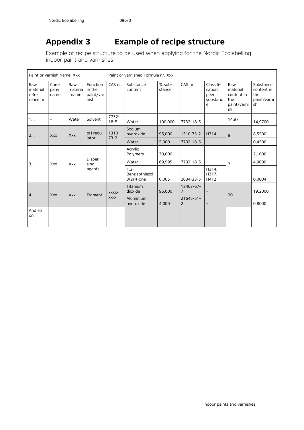# <span id="page-37-0"></span>**Appendix 3 Example of recipe structure**

Example of recipe structure to be used when applying for the Nordic Ecolabelling indoor paint and varnishes

| Paint or varnish Name: Xxx            |                        |                           | Paint or varnished Formula nr. Xxx      |                              |                                            |                  |                |                                              |                                                           |                                                     |
|---------------------------------------|------------------------|---------------------------|-----------------------------------------|------------------------------|--------------------------------------------|------------------|----------------|----------------------------------------------|-----------------------------------------------------------|-----------------------------------------------------|
| Raw<br>material<br>refe-<br>rence nr. | $Com-$<br>pany<br>name | Raw<br>materia<br>I name: | Function<br>in the<br>paint/var<br>nish | CAS nr.                      | Substance<br>content                       | % sub-<br>stance | CAS nr.        | Classifi-<br>cation<br>peer<br>substanc<br>e | Raw<br>material<br>content in<br>the<br>paint/varni<br>sh | Substance<br>content in<br>the<br>paint/varni<br>sh |
| 1                                     | $\overline{a}$         | Water                     | Solvent                                 | 7732-<br>$18 - 5$            | Water                                      | 100,000          | 7732-18-5      | $\blacksquare$                               | 14,97                                                     | 14,9700                                             |
| 2                                     | Xxx                    | Xxx                       | pH regu-<br>lator                       | 1310-<br>$73-2$              | Sodium<br>hydroxide                        | 95,000           | 1310-73-2      | H314                                         | 9                                                         | 8,5500                                              |
|                                       |                        |                           |                                         |                              | Water                                      | 5,000            | 7732-18-5      |                                              |                                                           | 0,4500                                              |
| 3                                     |                        |                           | Disper-<br>sing<br>agents               | $\qquad \qquad \blacksquare$ | Acrylic<br>Polymers                        | 30,000           | ÷              |                                              | $\overline{7}$                                            | 2,1000                                              |
|                                       | Xxx                    | Xxx                       |                                         |                              | Water                                      | 69,995           | 7732-18-5      | $\overline{\phantom{a}}$                     |                                                           | 4,9000                                              |
|                                       |                        |                           |                                         |                              | $1.2 -$<br>Benzisothiazol-<br>$3(2H)$ -one | 0,005            | 2634-33-5      | H314,<br>H317,<br>H412                       |                                                           | 0.0004                                              |
| 4                                     |                        | Xxx                       | Pigment                                 | XXXX-<br>$XX-X$              | Titanium<br>dioxide                        | 96,000           | 13463-67-<br>7 |                                              |                                                           | 19,2000                                             |
|                                       | <b>Xxx</b>             |                           |                                         |                              | Aluminium<br>hydroxide                     | 4,000            | 21645-51-<br>2 |                                              | 20                                                        | 0,8000                                              |
| And so<br>on                          |                        |                           |                                         |                              |                                            |                  |                |                                              |                                                           |                                                     |